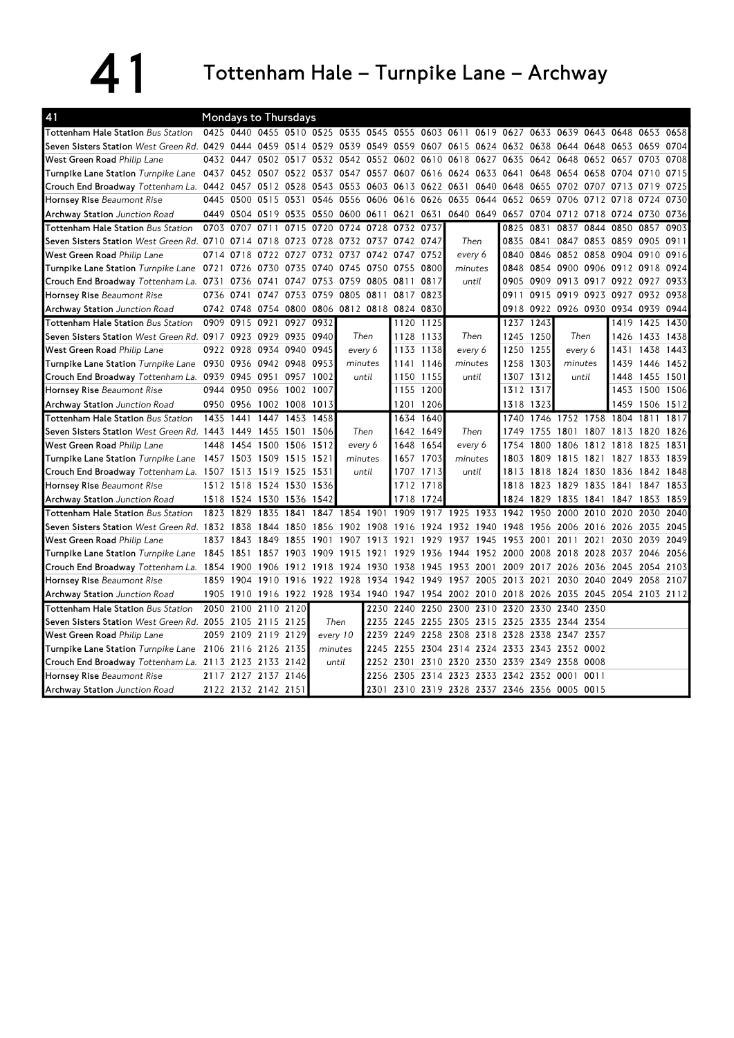41 Tottenham Hale – Turnpike Lane – Archway

| 41                                                                                  | Mondays to Thursdays<br>0425 0440 0455 0510 0525 0535 0545 0555 0603 0611 |           |                          |                |      |                |                                              |           |           |                                                             |           |      |           |                |                     |                                         |           |      |
|-------------------------------------------------------------------------------------|---------------------------------------------------------------------------|-----------|--------------------------|----------------|------|----------------|----------------------------------------------|-----------|-----------|-------------------------------------------------------------|-----------|------|-----------|----------------|---------------------|-----------------------------------------|-----------|------|
| <b>Tottenham Hale Station Bus Station</b>                                           |                                                                           |           |                          |                |      |                |                                              |           |           |                                                             |           |      |           |                |                     | 0619 0627 0633 0639 0643 0648 0653 0658 |           |      |
| Seven Sisters Station West Green Rd. 0429                                           |                                                                           | 0444      |                          | 0459 0514 0529 |      |                |                                              |           |           | 0539 0549 0559 0607 0615 0624 0632                          |           |      |           |                | 0638 0644 0648 0653 |                                         | 0659      | 0704 |
| West Green Road Philip Lane                                                         |                                                                           | 0432 0447 |                          |                |      |                |                                              |           |           | 0502 0517 0532 0542 0552 0602 0610 0618 0627                |           | 0635 |           |                |                     | 0642 0648 0652 0657 0703                |           | 0708 |
| Turnpike Lane Station Turnpike Lane                                                 |                                                                           |           |                          |                |      |                |                                              |           |           | 0437 0452 0507 0522 0537 0547 0557 0607 0616 0624 0633 0641 |           |      |           |                | 0648 0654 0658 0704 |                                         | 0710      | 0715 |
| Crouch End Broadway Tottenham La. 0442 0457 0512 0528 0543 0553 0603 0613 0622 0631 |                                                                           |           |                          |                |      |                |                                              |           |           |                                                             | 0640 0648 |      |           |                | 0655 0702 0707 0713 |                                         | 0719      | 0725 |
| Hornsey Rise Beaumont Rise                                                          | 0445                                                                      | 0500      | 0515 0531                |                | 0546 |                | 0556 0606 0616 0626                          |           |           | 0635                                                        | 0644      | 0652 | 0659      | 0706           | 0712 0718           |                                         | 0724      | 0730 |
| Archway Station Junction Road                                                       | 0449                                                                      |           |                          |                |      |                | 0504 0519 0535 0550 0600 0611 0621 0631      |           |           |                                                             |           |      |           |                |                     | 0640 0649 0657 0704 0712 0718 0724 0730 |           | 0736 |
| <b>Tottenham Hale Station Bus Station</b>                                           | 0703                                                                      | 0707      | 0711                     | 0715           | 0720 |                | 0724 0728 0732 0737                          |           |           |                                                             |           | 0825 | 0831      | 0837           |                     | 0844 0850                               | 0857      | 0903 |
| Seven Sisters Station West Green Rd. 0710                                           |                                                                           | 0714      |                          | 0718 0723 0728 |      |                | 0732 0737 0742 0747                          |           |           | Then                                                        |           | 0835 |           |                | 0841 0847 0853 0859 |                                         | 0905      | 0911 |
| West Green Road Philip Lane                                                         | 0714                                                                      | 0718      | 0722                     | 0727           | 0732 |                | 0737 0742 0747 0752                          |           |           | every 6                                                     |           | 0840 |           |                |                     | 0846 0852 0858 0904 0910                |           | 0916 |
| Turnpike Lane Station Turnpike Lane 0721                                            |                                                                           | 0726      | 0730 0735 0740           |                |      |                | 0745 0750 0755 0800                          |           |           | minutes                                                     |           | 0848 |           |                |                     | 0854 0900 0906 0912 0918 0924           |           |      |
| Crouch End Broadway Tottenham La. 0731                                              |                                                                           | 0736      | 0741                     | 0747           | 0753 |                | 0759 0805 0811 0817                          |           |           | until                                                       |           | 0905 |           |                |                     | 0909 0913 0917 0922 0927                |           | 0933 |
| Hornsey Rise Beaumont Rise                                                          | 0736                                                                      | 0741      |                          | 0747 0753 0759 |      | 0805 0811      |                                              | 0817 0823 |           |                                                             |           | 0911 |           |                |                     | 0915 0919 0923 0927 0932                |           | 0938 |
| <b>Archway Station</b> Junction Road                                                |                                                                           |           |                          |                |      |                | 0742 0748 0754 0800 0806 0812 0818 0824 0830 |           |           |                                                             |           |      |           |                |                     | 0918 0922 0926 0930 0934 0939 0944      |           |      |
| Tottenham Hale Station Bus Station                                                  | 0909                                                                      | 0915      | 0921                     | 0927 0932      |      |                |                                              |           | 1120 1125 |                                                             |           |      | 1237 1243 |                |                     | 1419                                    | 1425      | 1430 |
| Seven Sisters Station West Green Rd. 0917 0923 0929 0935 0940                       |                                                                           |           |                          |                |      |                | Then                                         |           | 1128 1133 | Then                                                        |           |      | 1245 1250 | Then           |                     | 1426                                    | 1433      | 1438 |
| West Green Road Philip Lane                                                         |                                                                           |           | 0922 0928 0934 0940      |                | 0945 |                | every 6                                      |           | 1133 1138 | every 6                                                     |           |      | 1250 1255 | every 6        |                     | 1431                                    | 1438      | 1443 |
| Turnpike Lane Station Turnpike Lane 0930 0936 0942 0948 0953                        |                                                                           |           |                          |                |      |                | minutes                                      |           | 1141 1146 |                                                             | minutes   |      | 1303      | minutes        |                     | 1439                                    | 1446 1452 |      |
| Crouch End Broadway Tottenham La. 0939 0945 0951 0957                               |                                                                           |           |                          |                | 1002 | until          |                                              |           | 1150 1155 | until                                                       |           |      | 1307 1312 | until          |                     | 1448                                    | 1455 1501 |      |
| Hornsey Rise Beaumont Rise                                                          | 0944                                                                      | 0950      | 0956 1002 1007           |                |      |                |                                              |           | 1155 1200 |                                                             |           |      | 1312 1317 |                |                     | 1453                                    | 1500      | 1506 |
| <b>Archway Station</b> Junction Road                                                | 0950                                                                      | 0956      | 1002 1008                |                | 1013 |                |                                              | 1201      | 1206      |                                                             |           |      | 1318 1323 |                |                     | 1459                                    | 1506      | 1512 |
| Tottenham Hale Station Bus Station                                                  | 1435                                                                      | 1441      |                          | 1447 1453      | 1458 |                |                                              | 1634      | 1640      |                                                             |           | 1740 |           |                | 1746 1752 1758      | 1804 1811                               |           | 1817 |
| Seven Sisters Station West Green Rd. 1443                                           |                                                                           | 1449      |                          | 1455 1501      | 1506 |                | Then                                         |           | 1642 1649 | Then                                                        |           | 1749 | 1755      |                |                     | 1801 1807 1813 1820                     |           | 1826 |
| West Green Road Philip Lane                                                         | 1448                                                                      | 1454      |                          | 1500 1506      | 1512 |                | every 6                                      |           | 1648 1654 | every 6                                                     |           | 1754 | 1800      | 1806           | 1812                | 1818                                    | 1825      | 1831 |
| Turnpike Lane Station Turnpike Lane                                                 |                                                                           |           | 1457 1503 1509 1515 1521 |                |      |                | minutes                                      |           | 1657 1703 |                                                             | minutes   | 1803 |           |                |                     | 1809 1815 1821 1827 1833 1839           |           |      |
| Crouch End Broadway Tottenham La. 1507 1513 1519 1525                               |                                                                           |           |                          |                | 1531 |                | until                                        |           | 1707 1713 | until                                                       |           | 1813 |           |                | 1818 1824 1830 1836 |                                         | 1842 1848 |      |
| Hornsey Rise Beaumont Rise                                                          |                                                                           |           | 1512 1518 1524 1530      |                | 1536 |                |                                              |           | 1712 1718 |                                                             |           | 1818 | 1823 1829 |                | 1835 1841           |                                         | 1847      | 1853 |
| <b>Archway Station</b> Junction Road                                                |                                                                           |           | 1518 1524 1530 1536      |                | 1542 |                |                                              | 1718      | 1724      |                                                             |           | 1824 | 1829      | 1835           |                     | 1841 1847 1853                          |           | 1859 |
| Tottenham Hale Station Bus Station                                                  | 1823                                                                      | 1829      | 1835                     | 1841           |      | 1847 1854 1901 |                                              |           |           | 1909 1917 1925 1933 1942                                    |           |      | 1950      | 2000           | 2010                | 2020                                    | 2030      | 2040 |
| Seven Sisters Station West Green Rd. 1832 1838                                      |                                                                           |           | 1844 1850                |                | 1856 |                | 1902 1908 1916                               |           |           | 1924 1932 1940 1948                                         |           |      |           |                | 1956 2006 2016 2026 |                                         | 2035      | 2045 |
| West Green Road Philip Lane                                                         |                                                                           | 1837 1843 | 1849                     | 1855           | 1901 | 1907           | 1913                                         | 1921      | 1929      | 1937                                                        | 1945      | 1953 | 2001      | 2011           | 2021                | 2030                                    | 2039      | 2049 |
| Turnpike Lane Station Turnpike Lane                                                 |                                                                           |           | 1845 1851 1857 1903      |                | 1909 |                | 1915 1921 1929 1936                          |           |           | 1944 1952 2000                                              |           |      |           |                |                     | 2008 2018 2028 2037 2046                |           | 2056 |
| Crouch End Broadway Tottenham La. 1854 1900                                         |                                                                           |           | 1906 1912                |                |      |                | 1918 1924 1930 1938 1945                     |           |           | 1953 2001                                                   |           | 2009 |           |                | 2017 2026 2036 2045 |                                         | 2054      | 2103 |
| Hornsey Rise Beaumont Rise                                                          |                                                                           |           |                          |                |      |                | 1859 1904 1910 1916 1922 1928 1934 1942 1949 |           |           | 1957 2005 2013 2021                                         |           |      |           |                |                     | 2030 2040 2049 2058                     |           | 2107 |
| Archway Station Junction Road                                                       | 1905                                                                      | 1910      |                          |                |      |                | 1916 1922 1928 1934 1940 1947 1954 2002      |           |           |                                                             | 2010 2018 |      |           |                |                     | 2026 2035 2045 2054 2103 2112           |           |      |
| Tottenham Hale Station Bus Station                                                  | 2050                                                                      | 2100      | 2110 2120                |                |      |                | 2230                                         | 2240      | 2250      | 2300                                                        | 2310 2320 |      | 2330      | 2340 2350      |                     |                                         |           |      |
| Seven Sisters Station West Green Rd. 2055 2105 2115 2125                            |                                                                           |           |                          |                |      | Then           |                                              |           |           | 2235 2245 2255 2305 2315 2325                               |           |      |           | 2335 2344 2354 |                     |                                         |           |      |
| West Green Road Philip Lane                                                         |                                                                           |           | 2059 2109 2119 2129      |                |      | every 10       | 2239                                         | 2249      | 2258      | 2308 2318 2328                                              |           |      |           | 2338 2347 2357 |                     |                                         |           |      |
| Turnpike Lane Station Turnpike Lane 2106 2116 2126 2135                             |                                                                           |           |                          |                |      | minutes        |                                              |           |           | 2245 2255 2304 2314 2324 2333 2343 2352 0002                |           |      |           |                |                     |                                         |           |      |
| Crouch End Broadway Tottenham La. 2113 2123 2133 2142                               |                                                                           |           |                          |                |      | until          |                                              |           |           | 2252 2301 2310 2320 2330 2339 2349 2358 0008                |           |      |           |                |                     |                                         |           |      |
| Hornsey Rise Beaumont Rise                                                          |                                                                           |           | 2117 2127 2137 2146      |                |      |                |                                              |           |           | 2256 2305 2314 2323 2333 2342 2352 0001 0011                |           |      |           |                |                     |                                         |           |      |
| Archway Station Junction Road                                                       |                                                                           |           | 2122 2132 2142 2151      |                |      |                |                                              |           |           | 2301 2310 2319 2328 2337 2346 2356 0005 0015                |           |      |           |                |                     |                                         |           |      |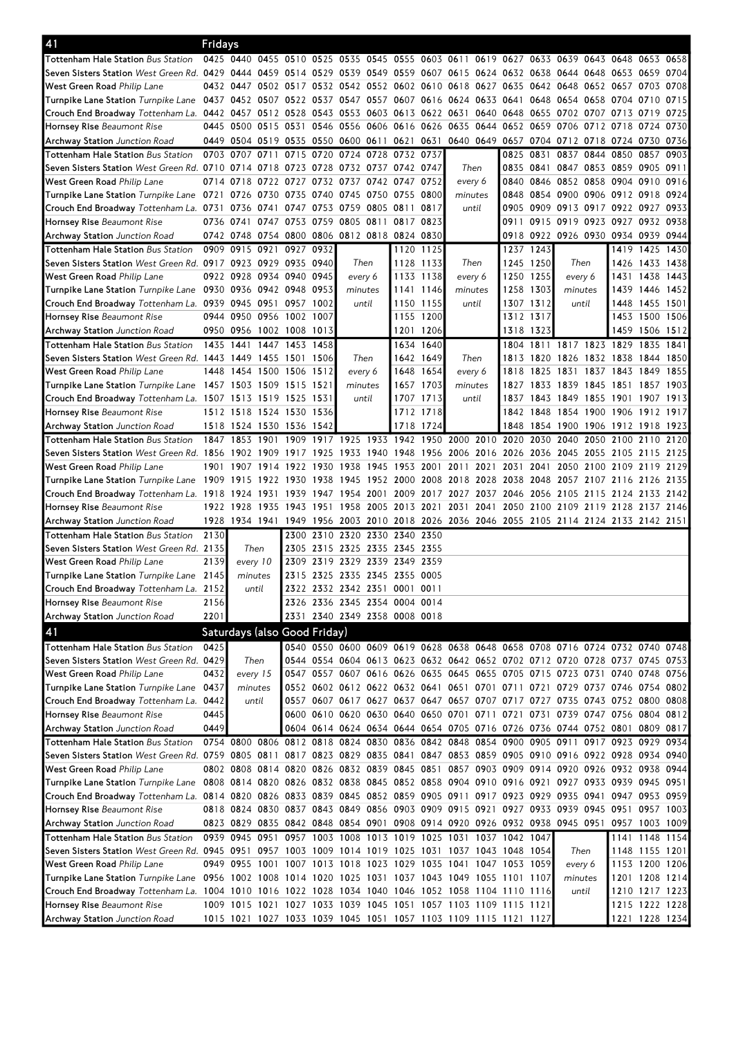| 0425 0440 0455 0510 0525 0535 0545 0555 0603 0611 0619 0627 0633 0639 0643 0648 0653 0658<br>Tottenham Hale Station Bus Station<br>Seven Sisters Station West Green Rd. 0429 0444 0459 0514 0529 0539 0549 0559 0607 0615 0624 0632 0638 0644 0648 0653 0659 0704<br>West Green Road Philip Lane<br>0432 0447 0502 0517 0532 0542 0552 0602 0610 0618 0627 0635 0642 0648 0652 0657 0703 0708<br>Turnpike Lane Station <i>Turnpike Lane</i> 0437 0452 0507 0522 0537 0547 0557 0607 0616 0624 0633 0641 0648 0654 0658 0704 0710 0715<br>Crouch End Broadway Tottenham La. 0442 0457 0512 0528 0543 0553 0603 0613 0622 0631 0640 0648 0655 0702 0707 0713 0719 0725<br>0445 0500 0515 0531 0546 0556 0606 0616 0626 0635 0644 0652 0659 0706 0712 0718 0724 0730<br>Hornsey Rise Beaumont Rise<br>0449 0504 0519 0535 0550 0600 0611 0621 0631<br>0640 0649 0657 0704 0712 0718 0724 0730 0736<br>Archway Station Junction Road<br><b>Tottenham Hale Station Bus Station</b><br>0703 0707 0711<br>0715 0720 0724 0728 0732 0737<br>0825 0831 0837 0844 0850 0857<br>0903<br>Seven Sisters Station West Green Rd. 0710 0714 0718 0723 0728<br>0732 0737 0742 0747<br>Then<br>0835 0841 0847 0853 0859 0905 0911<br>0840 0846 0852 0858 0904 0910 0916<br>West Green Road Philip Lane<br>0714 0718<br>0722 0727 0732 0737 0742 0747 0752<br>every 6<br>Turnpike Lane Station Turnpike Lane 0721 0726 0730 0735 0740<br>0745 0750 0755 0800<br>0848 0854 0900 0906 0912 0918 0924<br>minutes<br>0905 0909 0913 0917 0922 0927 0933<br>Crouch End Broadway Tottenham La. 0731 0736 0741 0747 0753 0759 0805 0811 0817<br>until<br>0736 0741 0747 0753 0759 0805 0811<br>0911 0915 0919 0923 0927 0932 0938<br>Hornsey Rise Beaumont Rise<br>0817 0823<br>0918 0922 0926 0930 0934 0939 0944<br>0742 0748 0754 0800 0806 0812 0818 0824 0830<br>Tottenham Hale Station Bus Station<br>0909 0915 0921 0927 0932<br>1120 1125<br>1237 1243<br>1419 1425 1430<br>1245 1250<br>Seven Sisters Station West Green Rd. 0917 0923 0929 0935 0940<br>Then<br>1128 1133<br>Then<br>Then<br>1433 1438<br>1426<br>0922 0928 0934 0940 0945<br>1133 1138<br>1250 1255<br>1431 1438 1443<br>every 6<br>every 6<br>every 6<br>Turnpike Lane Station Turnpike Lane 0930 0936 0942 0948 0953<br>1258 1303<br>1439<br>1446 1452<br>minutes<br>1141 1146<br>minutes<br>minutes<br>Crouch End Broadway Tottenham La. 0939 0945 0951 0957 1002<br>1307 1312<br>1150 1155<br>1448<br>1455 1501<br>until<br>until<br>until<br>0944 0950 0956 1002 1007<br>1155 1200<br>1453 1500 1506<br>1312 1317<br>Archway Station Junction Road<br>0950 0956 1002 1008 1013<br>1201 1206<br>1318 1323<br>1459 1506 1512<br>1435 1441 1447 1453<br>1634 1640<br>1804 1811 1817 1823 1829<br><b>Tottenham Hale Station</b> Bus Station<br>1458<br>1835<br>1841<br>Seven Sisters Station West Green Rd. 1443 1449 1455 1501 1506<br>1642 1649<br>1820 1826 1832 1838 1844 1850<br>Then<br>Then<br>1813<br>West Green Road Philip Lane<br>1448 1454 1500 1506 1512<br>1648 1654<br>every 6<br>1818<br>1825 1831 1837 1843 1849 1855<br>every 6<br>Turnpike Lane Station $T$ urnpike Lane $\,$ 1457 $\,$ 1503 $\,$ 1509 $\,$ 1515 $\,$ 1521 $\,$<br>1657 1703<br>1827 1833 1839 1845 1851 1857 1903<br>minutes<br>minutes<br>Crouch End Broadway Tottenham La. 1507 1513 1519 1525 1531<br>1837 1843 1849 1855 1901 1907 1913<br>until<br>1707 1713<br>until<br>Hornsey Rise Beaumont Rise<br>1512 1518 1524 1530 1536<br>1842 1848 1854 1900 1906 1912 1917<br>1712 1718<br>1718 1724<br>Archway Station Junction Road<br>1518 1524 1530 1536 1542<br>1848<br>1854 1900 1906 1912 1918 1923<br>Tottenham Hale Station Bus Station<br>1909 1917 1925 1933 1942 1950 2000 2010 2020<br>2030 2040<br>1847 1853 1901<br>2050 2100<br>2110<br>2120<br>Seven Sisters Station West Green Rd. 1856 1902 1909 1917 1925<br>1933 1940 1948 1956 2006 2016 2026 2036 2045 2055 2105 2115 2125<br>1938 1945 1953 2001<br>2011 2021 2031 2041 2050 2100 2109 2119 2129<br>1901 1907 1914 1922 1930<br>Turnpike Lane Station Turnpike Lane 1909 1915 1922 1930 1938 1945 1952 2000 2008 2018 2028 2038 2048 2057 2107 2116 2126 2135<br>Crouch End Broadway Tottenham La. 1918 1924 1931 1939<br>1947 1954 2001<br>2009 2017 2027 2037 2046 2056 2105 2115 2124 2133 2142<br>1922 1928 1935 1943 1951 1958 2005 2013 2021<br>2031 2041 2050 2100 2109 2119 2128 2137 2146<br>1928 1934 1941 1949 1956 2003 2010 2018 2026 2036 2046 2055 2105 2114 2124 2133 2142 2151<br><b>Archway Station</b> Junction Road<br>2310<br>2320 2330 2340 2350<br>Tottenham Hale Station Bus Station<br>2130<br>2300<br>Seven Sisters Station West Green Rd. 2135<br>Then<br>2305 2315 2325 2335 2345 2355<br>2309 2319 2329 2339 2349 2359<br>West Green Road Philip Lane<br>2139<br>every 10<br>Turnpike Lane Station Turnpike Lane 2145<br>2315 2325 2335 2345 2355 0005<br>minutes<br>Crouch End Broadway Tottenham La. 2152<br>2322 2332 2342 2351 0001 0011<br>$\mathsf{until}$<br>Hornsey Rise Beaumont Rise<br>2326 2336 2345 2354 0004 0014<br>2156<br>2201<br>2331 2340 2349 2358 0008 0018<br>Archway Station Junction Road<br>Saturdays (also Good Friday)<br>0425<br>0540 0550 0600 0609 0619 0628 0638 0648 0658 0708 0716 0724 0732 0740 0748<br>Seven Sisters Station West Green Rd. 0429<br>Then<br>0544 0554 0604 0613 0623 0632 0642 0652 0702 0712 0720 0728 0737 0745 0753<br>0432<br>0547 0557 0607 0616 0626 0635 0645 0655 0705 0715 0723 0731 0740 0748 0756<br>every 15<br>0552 0602 0612 0622 0632 0641 0651 0701 0711 0721 0729 0737 0746 0754 0802<br>0437<br>minutes<br>Crouch End Broadway Tottenham La. 0442<br>0557 0607 0617 0627 0637 0647 0657 0707 0717 0727 0735 0743 0752 0800 0808<br>until<br>0600 0610 0620 0630 0640 0650 0701 0711 0721 0731 0739 0747 0756 0804 0812<br>0445<br>0449<br>0604 0614 0624 0634 0644 0654 0705 0716 0726 0736 0744 0752 0801 0809 0817<br><b>Archway Station</b> Junction Road<br>0806 0812 0818 0824 0830 0836 0842 0848 0854 0900 0905 0911<br>0754 0800<br>0917 0923 0929 0934<br>Tottenham Hale Station Bus Station<br>Seven Sisters Station West Green Rd. 0759 0805 0811 0817 0823 0829 0835 0841 0847 0853 0859 0905 0910 0916 0922 0928 0934 0940<br>0802 0808 0814 0820 0826 0832 0839 0845 0851 0857 0903 0909 0914 0920 0926 0932 0938 0944<br>West Green Road Philip Lane<br>Turnpike Lane Station Turnpike Lane<br>0808 0814 0820 0826 0832 0838 0845 0852 0858 0904 0910 0916 0921 0927 0933 0939 0945 0951<br>Crouch End Broadway Tottenham La. 0814 0820 0826 0833 0839 0845 0852 0859 0905 0911 0917 0923 0929 0935 0941 0947 0953 0959<br>Hornsey Rise Beaumont Rise<br>0818 0824 0830 0837 0843 0849 0856 0903 0909 0915 0921 0927 0933 0939 0945 0951 0957 1003<br>Archway Station Junction Road<br>0823 0829 0835 0842 0848 0854 0901 0908 0914 0920 0926 0932 0938 0945 0951<br>0957 1003 1009<br>0939 0945 0951 0957 1003 1008 1013 1019 1025 1031 1037 1042 1047<br>1141 1148 1154<br>Seven Sisters Station West Green Rd. 0945 0951 0957 1003 1009 1014 1019 1025 1031 1037 1043 1048 1054<br>Then<br>1148 1155 1201<br>0949 0955 1001 1007 1013 1018 1023 1029 1035 1041 1047 1053 1059<br>every 6<br>1153 1200 1206<br>Turnpike Lane Station Turnpike Lane 0956 1002 1008 1014 1020 1025 1031 1037 1043 1049 1055 1101 1107<br>minutes<br>1201 1208 1214<br>Crouch End Broadway Tottenham La. 1004 1010 1016 1022 1028 1034 1040 1046 1052 1058 1104 1110 1116<br>1210 1217 1223<br>until<br>1215 1222 1228<br>1009 1015 1021 1027 1033 1039 1045 1051 1057 1103 1109 1115 1121<br>1015 1021 1027 1033 1039 1045 1051 1057 1103 1109 1115 1121 1127<br>1221 1228 1234 | 41                                   | Fridays |  |  |  |  |  |  |  |  |  |
|-------------------------------------------------------------------------------------------------------------------------------------------------------------------------------------------------------------------------------------------------------------------------------------------------------------------------------------------------------------------------------------------------------------------------------------------------------------------------------------------------------------------------------------------------------------------------------------------------------------------------------------------------------------------------------------------------------------------------------------------------------------------------------------------------------------------------------------------------------------------------------------------------------------------------------------------------------------------------------------------------------------------------------------------------------------------------------------------------------------------------------------------------------------------------------------------------------------------------------------------------------------------------------------------------------------------------------------------------------------------------------------------------------------------------------------------------------------------------------------------------------------------------------------------------------------------------------------------------------------------------------------------------------------------------------------------------------------------------------------------------------------------------------------------------------------------------------------------------------------------------------------------------------------------------------------------------------------------------------------------------------------------------------------------------------------------------------------------------------------------------------------------------------------------------------------------------------------------------------------------------------------------------------------------------------------------------------------------------------------------------------------------------------------------------------------------------------------------------------------------------------------------------------------------------------------------------------------------------------------------------------------------------------------------------------------------------------------------------------------------------------------------------------------------------------------------------------------------------------------------------------------------------------------------------------------------------------------------------------------------------------------------------------------------------------------------------------------------------------------------------------------------------------------------------------------------------------------------------------------------------------------------------------------------------------------------------------------------------------------------------------------------------------------------------------------------------------------------------------------------------------------------------------------------------------------------------------------------------------------------------------------------------------------------------------------------------------------------------------------------------------------------------------------------------------------------------------------------------------------------------------------------------------------------------------------------------------------------------------------------------------------------------------------------------------------------------------------------------------------------------------------------------------------------------------------------------------------------------------------------------------------------------------------------------------------------------------------------------------------------------------------------------------------------------------------------------------------------------------------------------------------------------------------------------------------------------------------------------------------------------------------------------------------------------------------------------------------------------------------------------------------------------------------------------------------------------------------------------------------------------------------------------------------------------------------------------------------------------------------------------------------------------------------------------------------------------------------------------------------------------------------------------------------------------------------------------------------------------------------------------------------------------------------------------------------------------------------------------------------------------------------------------------------------------------------------------------------------------------------------------------------------------------------------------------------------------------------------------------------------------------------------------------------------------------------------------------------------------------------------------------------------------------------------------------------------------------------------------------------------------------------------------------------------------------------------------------------------------------------------------------------------------------------------------------------------------------------------------------------------------------------------------------------------------------------------------------------------------------------------------------------------------------------------------------------------------------------------------------------------------------------------------------------------------------------------------------------------------------------------------------------------------------------------------------------------------------------------------------------------------------------------------------------------------------------------------------------------------------------------------------------------------------------------------------------------------------------------------------------------------------------------------------------------------------------------------------------------------------------------------------------------------------------------------------------------------------------------------------------------------------------------------------------------------------------------------------------------------------------------------------------------------------------------------------------------------------------------------------------------------------------------------------------------------------------------------------------------------------------------------------------------------------------------------------------------------------------------------------------------------------------------------------------------------------------------------|--------------------------------------|---------|--|--|--|--|--|--|--|--|--|
|                                                                                                                                                                                                                                                                                                                                                                                                                                                                                                                                                                                                                                                                                                                                                                                                                                                                                                                                                                                                                                                                                                                                                                                                                                                                                                                                                                                                                                                                                                                                                                                                                                                                                                                                                                                                                                                                                                                                                                                                                                                                                                                                                                                                                                                                                                                                                                                                                                                                                                                                                                                                                                                                                                                                                                                                                                                                                                                                                                                                                                                                                                                                                                                                                                                                                                                                                                                                                                                                                                                                                                                                                                                                                                                                                                                                                                                                                                                                                                                                                                                                                                                                                                                                                                                                                                                                                                                                                                                                                                                                                                                                                                                                                                                                                                                                                                                                                                                                                                                                                                                                                                                                                                                                                                                                                                                                                                                                                                                                                                                                                                                                                                                                                                                                                                                                                                                                                                                                                                                                                                                                                                                                                                                                                                                                                                                                                                                                                                                                                                                                                                                                                                                                                                                                                                                                                                                                                                                                                                                                                                                                                                                                                                                                                                                                                                                                                                                                                                                                                                                                                                                                                                                                                                 |                                      |         |  |  |  |  |  |  |  |  |  |
|                                                                                                                                                                                                                                                                                                                                                                                                                                                                                                                                                                                                                                                                                                                                                                                                                                                                                                                                                                                                                                                                                                                                                                                                                                                                                                                                                                                                                                                                                                                                                                                                                                                                                                                                                                                                                                                                                                                                                                                                                                                                                                                                                                                                                                                                                                                                                                                                                                                                                                                                                                                                                                                                                                                                                                                                                                                                                                                                                                                                                                                                                                                                                                                                                                                                                                                                                                                                                                                                                                                                                                                                                                                                                                                                                                                                                                                                                                                                                                                                                                                                                                                                                                                                                                                                                                                                                                                                                                                                                                                                                                                                                                                                                                                                                                                                                                                                                                                                                                                                                                                                                                                                                                                                                                                                                                                                                                                                                                                                                                                                                                                                                                                                                                                                                                                                                                                                                                                                                                                                                                                                                                                                                                                                                                                                                                                                                                                                                                                                                                                                                                                                                                                                                                                                                                                                                                                                                                                                                                                                                                                                                                                                                                                                                                                                                                                                                                                                                                                                                                                                                                                                                                                                                                 |                                      |         |  |  |  |  |  |  |  |  |  |
|                                                                                                                                                                                                                                                                                                                                                                                                                                                                                                                                                                                                                                                                                                                                                                                                                                                                                                                                                                                                                                                                                                                                                                                                                                                                                                                                                                                                                                                                                                                                                                                                                                                                                                                                                                                                                                                                                                                                                                                                                                                                                                                                                                                                                                                                                                                                                                                                                                                                                                                                                                                                                                                                                                                                                                                                                                                                                                                                                                                                                                                                                                                                                                                                                                                                                                                                                                                                                                                                                                                                                                                                                                                                                                                                                                                                                                                                                                                                                                                                                                                                                                                                                                                                                                                                                                                                                                                                                                                                                                                                                                                                                                                                                                                                                                                                                                                                                                                                                                                                                                                                                                                                                                                                                                                                                                                                                                                                                                                                                                                                                                                                                                                                                                                                                                                                                                                                                                                                                                                                                                                                                                                                                                                                                                                                                                                                                                                                                                                                                                                                                                                                                                                                                                                                                                                                                                                                                                                                                                                                                                                                                                                                                                                                                                                                                                                                                                                                                                                                                                                                                                                                                                                                                                 |                                      |         |  |  |  |  |  |  |  |  |  |
|                                                                                                                                                                                                                                                                                                                                                                                                                                                                                                                                                                                                                                                                                                                                                                                                                                                                                                                                                                                                                                                                                                                                                                                                                                                                                                                                                                                                                                                                                                                                                                                                                                                                                                                                                                                                                                                                                                                                                                                                                                                                                                                                                                                                                                                                                                                                                                                                                                                                                                                                                                                                                                                                                                                                                                                                                                                                                                                                                                                                                                                                                                                                                                                                                                                                                                                                                                                                                                                                                                                                                                                                                                                                                                                                                                                                                                                                                                                                                                                                                                                                                                                                                                                                                                                                                                                                                                                                                                                                                                                                                                                                                                                                                                                                                                                                                                                                                                                                                                                                                                                                                                                                                                                                                                                                                                                                                                                                                                                                                                                                                                                                                                                                                                                                                                                                                                                                                                                                                                                                                                                                                                                                                                                                                                                                                                                                                                                                                                                                                                                                                                                                                                                                                                                                                                                                                                                                                                                                                                                                                                                                                                                                                                                                                                                                                                                                                                                                                                                                                                                                                                                                                                                                                                 |                                      |         |  |  |  |  |  |  |  |  |  |
|                                                                                                                                                                                                                                                                                                                                                                                                                                                                                                                                                                                                                                                                                                                                                                                                                                                                                                                                                                                                                                                                                                                                                                                                                                                                                                                                                                                                                                                                                                                                                                                                                                                                                                                                                                                                                                                                                                                                                                                                                                                                                                                                                                                                                                                                                                                                                                                                                                                                                                                                                                                                                                                                                                                                                                                                                                                                                                                                                                                                                                                                                                                                                                                                                                                                                                                                                                                                                                                                                                                                                                                                                                                                                                                                                                                                                                                                                                                                                                                                                                                                                                                                                                                                                                                                                                                                                                                                                                                                                                                                                                                                                                                                                                                                                                                                                                                                                                                                                                                                                                                                                                                                                                                                                                                                                                                                                                                                                                                                                                                                                                                                                                                                                                                                                                                                                                                                                                                                                                                                                                                                                                                                                                                                                                                                                                                                                                                                                                                                                                                                                                                                                                                                                                                                                                                                                                                                                                                                                                                                                                                                                                                                                                                                                                                                                                                                                                                                                                                                                                                                                                                                                                                                                                 |                                      |         |  |  |  |  |  |  |  |  |  |
|                                                                                                                                                                                                                                                                                                                                                                                                                                                                                                                                                                                                                                                                                                                                                                                                                                                                                                                                                                                                                                                                                                                                                                                                                                                                                                                                                                                                                                                                                                                                                                                                                                                                                                                                                                                                                                                                                                                                                                                                                                                                                                                                                                                                                                                                                                                                                                                                                                                                                                                                                                                                                                                                                                                                                                                                                                                                                                                                                                                                                                                                                                                                                                                                                                                                                                                                                                                                                                                                                                                                                                                                                                                                                                                                                                                                                                                                                                                                                                                                                                                                                                                                                                                                                                                                                                                                                                                                                                                                                                                                                                                                                                                                                                                                                                                                                                                                                                                                                                                                                                                                                                                                                                                                                                                                                                                                                                                                                                                                                                                                                                                                                                                                                                                                                                                                                                                                                                                                                                                                                                                                                                                                                                                                                                                                                                                                                                                                                                                                                                                                                                                                                                                                                                                                                                                                                                                                                                                                                                                                                                                                                                                                                                                                                                                                                                                                                                                                                                                                                                                                                                                                                                                                                                 |                                      |         |  |  |  |  |  |  |  |  |  |
|                                                                                                                                                                                                                                                                                                                                                                                                                                                                                                                                                                                                                                                                                                                                                                                                                                                                                                                                                                                                                                                                                                                                                                                                                                                                                                                                                                                                                                                                                                                                                                                                                                                                                                                                                                                                                                                                                                                                                                                                                                                                                                                                                                                                                                                                                                                                                                                                                                                                                                                                                                                                                                                                                                                                                                                                                                                                                                                                                                                                                                                                                                                                                                                                                                                                                                                                                                                                                                                                                                                                                                                                                                                                                                                                                                                                                                                                                                                                                                                                                                                                                                                                                                                                                                                                                                                                                                                                                                                                                                                                                                                                                                                                                                                                                                                                                                                                                                                                                                                                                                                                                                                                                                                                                                                                                                                                                                                                                                                                                                                                                                                                                                                                                                                                                                                                                                                                                                                                                                                                                                                                                                                                                                                                                                                                                                                                                                                                                                                                                                                                                                                                                                                                                                                                                                                                                                                                                                                                                                                                                                                                                                                                                                                                                                                                                                                                                                                                                                                                                                                                                                                                                                                                                                 |                                      |         |  |  |  |  |  |  |  |  |  |
|                                                                                                                                                                                                                                                                                                                                                                                                                                                                                                                                                                                                                                                                                                                                                                                                                                                                                                                                                                                                                                                                                                                                                                                                                                                                                                                                                                                                                                                                                                                                                                                                                                                                                                                                                                                                                                                                                                                                                                                                                                                                                                                                                                                                                                                                                                                                                                                                                                                                                                                                                                                                                                                                                                                                                                                                                                                                                                                                                                                                                                                                                                                                                                                                                                                                                                                                                                                                                                                                                                                                                                                                                                                                                                                                                                                                                                                                                                                                                                                                                                                                                                                                                                                                                                                                                                                                                                                                                                                                                                                                                                                                                                                                                                                                                                                                                                                                                                                                                                                                                                                                                                                                                                                                                                                                                                                                                                                                                                                                                                                                                                                                                                                                                                                                                                                                                                                                                                                                                                                                                                                                                                                                                                                                                                                                                                                                                                                                                                                                                                                                                                                                                                                                                                                                                                                                                                                                                                                                                                                                                                                                                                                                                                                                                                                                                                                                                                                                                                                                                                                                                                                                                                                                                                 |                                      |         |  |  |  |  |  |  |  |  |  |
|                                                                                                                                                                                                                                                                                                                                                                                                                                                                                                                                                                                                                                                                                                                                                                                                                                                                                                                                                                                                                                                                                                                                                                                                                                                                                                                                                                                                                                                                                                                                                                                                                                                                                                                                                                                                                                                                                                                                                                                                                                                                                                                                                                                                                                                                                                                                                                                                                                                                                                                                                                                                                                                                                                                                                                                                                                                                                                                                                                                                                                                                                                                                                                                                                                                                                                                                                                                                                                                                                                                                                                                                                                                                                                                                                                                                                                                                                                                                                                                                                                                                                                                                                                                                                                                                                                                                                                                                                                                                                                                                                                                                                                                                                                                                                                                                                                                                                                                                                                                                                                                                                                                                                                                                                                                                                                                                                                                                                                                                                                                                                                                                                                                                                                                                                                                                                                                                                                                                                                                                                                                                                                                                                                                                                                                                                                                                                                                                                                                                                                                                                                                                                                                                                                                                                                                                                                                                                                                                                                                                                                                                                                                                                                                                                                                                                                                                                                                                                                                                                                                                                                                                                                                                                                 |                                      |         |  |  |  |  |  |  |  |  |  |
|                                                                                                                                                                                                                                                                                                                                                                                                                                                                                                                                                                                                                                                                                                                                                                                                                                                                                                                                                                                                                                                                                                                                                                                                                                                                                                                                                                                                                                                                                                                                                                                                                                                                                                                                                                                                                                                                                                                                                                                                                                                                                                                                                                                                                                                                                                                                                                                                                                                                                                                                                                                                                                                                                                                                                                                                                                                                                                                                                                                                                                                                                                                                                                                                                                                                                                                                                                                                                                                                                                                                                                                                                                                                                                                                                                                                                                                                                                                                                                                                                                                                                                                                                                                                                                                                                                                                                                                                                                                                                                                                                                                                                                                                                                                                                                                                                                                                                                                                                                                                                                                                                                                                                                                                                                                                                                                                                                                                                                                                                                                                                                                                                                                                                                                                                                                                                                                                                                                                                                                                                                                                                                                                                                                                                                                                                                                                                                                                                                                                                                                                                                                                                                                                                                                                                                                                                                                                                                                                                                                                                                                                                                                                                                                                                                                                                                                                                                                                                                                                                                                                                                                                                                                                                                 |                                      |         |  |  |  |  |  |  |  |  |  |
|                                                                                                                                                                                                                                                                                                                                                                                                                                                                                                                                                                                                                                                                                                                                                                                                                                                                                                                                                                                                                                                                                                                                                                                                                                                                                                                                                                                                                                                                                                                                                                                                                                                                                                                                                                                                                                                                                                                                                                                                                                                                                                                                                                                                                                                                                                                                                                                                                                                                                                                                                                                                                                                                                                                                                                                                                                                                                                                                                                                                                                                                                                                                                                                                                                                                                                                                                                                                                                                                                                                                                                                                                                                                                                                                                                                                                                                                                                                                                                                                                                                                                                                                                                                                                                                                                                                                                                                                                                                                                                                                                                                                                                                                                                                                                                                                                                                                                                                                                                                                                                                                                                                                                                                                                                                                                                                                                                                                                                                                                                                                                                                                                                                                                                                                                                                                                                                                                                                                                                                                                                                                                                                                                                                                                                                                                                                                                                                                                                                                                                                                                                                                                                                                                                                                                                                                                                                                                                                                                                                                                                                                                                                                                                                                                                                                                                                                                                                                                                                                                                                                                                                                                                                                                                 |                                      |         |  |  |  |  |  |  |  |  |  |
|                                                                                                                                                                                                                                                                                                                                                                                                                                                                                                                                                                                                                                                                                                                                                                                                                                                                                                                                                                                                                                                                                                                                                                                                                                                                                                                                                                                                                                                                                                                                                                                                                                                                                                                                                                                                                                                                                                                                                                                                                                                                                                                                                                                                                                                                                                                                                                                                                                                                                                                                                                                                                                                                                                                                                                                                                                                                                                                                                                                                                                                                                                                                                                                                                                                                                                                                                                                                                                                                                                                                                                                                                                                                                                                                                                                                                                                                                                                                                                                                                                                                                                                                                                                                                                                                                                                                                                                                                                                                                                                                                                                                                                                                                                                                                                                                                                                                                                                                                                                                                                                                                                                                                                                                                                                                                                                                                                                                                                                                                                                                                                                                                                                                                                                                                                                                                                                                                                                                                                                                                                                                                                                                                                                                                                                                                                                                                                                                                                                                                                                                                                                                                                                                                                                                                                                                                                                                                                                                                                                                                                                                                                                                                                                                                                                                                                                                                                                                                                                                                                                                                                                                                                                                                                 |                                      |         |  |  |  |  |  |  |  |  |  |
|                                                                                                                                                                                                                                                                                                                                                                                                                                                                                                                                                                                                                                                                                                                                                                                                                                                                                                                                                                                                                                                                                                                                                                                                                                                                                                                                                                                                                                                                                                                                                                                                                                                                                                                                                                                                                                                                                                                                                                                                                                                                                                                                                                                                                                                                                                                                                                                                                                                                                                                                                                                                                                                                                                                                                                                                                                                                                                                                                                                                                                                                                                                                                                                                                                                                                                                                                                                                                                                                                                                                                                                                                                                                                                                                                                                                                                                                                                                                                                                                                                                                                                                                                                                                                                                                                                                                                                                                                                                                                                                                                                                                                                                                                                                                                                                                                                                                                                                                                                                                                                                                                                                                                                                                                                                                                                                                                                                                                                                                                                                                                                                                                                                                                                                                                                                                                                                                                                                                                                                                                                                                                                                                                                                                                                                                                                                                                                                                                                                                                                                                                                                                                                                                                                                                                                                                                                                                                                                                                                                                                                                                                                                                                                                                                                                                                                                                                                                                                                                                                                                                                                                                                                                                                                 |                                      |         |  |  |  |  |  |  |  |  |  |
|                                                                                                                                                                                                                                                                                                                                                                                                                                                                                                                                                                                                                                                                                                                                                                                                                                                                                                                                                                                                                                                                                                                                                                                                                                                                                                                                                                                                                                                                                                                                                                                                                                                                                                                                                                                                                                                                                                                                                                                                                                                                                                                                                                                                                                                                                                                                                                                                                                                                                                                                                                                                                                                                                                                                                                                                                                                                                                                                                                                                                                                                                                                                                                                                                                                                                                                                                                                                                                                                                                                                                                                                                                                                                                                                                                                                                                                                                                                                                                                                                                                                                                                                                                                                                                                                                                                                                                                                                                                                                                                                                                                                                                                                                                                                                                                                                                                                                                                                                                                                                                                                                                                                                                                                                                                                                                                                                                                                                                                                                                                                                                                                                                                                                                                                                                                                                                                                                                                                                                                                                                                                                                                                                                                                                                                                                                                                                                                                                                                                                                                                                                                                                                                                                                                                                                                                                                                                                                                                                                                                                                                                                                                                                                                                                                                                                                                                                                                                                                                                                                                                                                                                                                                                                                 |                                      |         |  |  |  |  |  |  |  |  |  |
|                                                                                                                                                                                                                                                                                                                                                                                                                                                                                                                                                                                                                                                                                                                                                                                                                                                                                                                                                                                                                                                                                                                                                                                                                                                                                                                                                                                                                                                                                                                                                                                                                                                                                                                                                                                                                                                                                                                                                                                                                                                                                                                                                                                                                                                                                                                                                                                                                                                                                                                                                                                                                                                                                                                                                                                                                                                                                                                                                                                                                                                                                                                                                                                                                                                                                                                                                                                                                                                                                                                                                                                                                                                                                                                                                                                                                                                                                                                                                                                                                                                                                                                                                                                                                                                                                                                                                                                                                                                                                                                                                                                                                                                                                                                                                                                                                                                                                                                                                                                                                                                                                                                                                                                                                                                                                                                                                                                                                                                                                                                                                                                                                                                                                                                                                                                                                                                                                                                                                                                                                                                                                                                                                                                                                                                                                                                                                                                                                                                                                                                                                                                                                                                                                                                                                                                                                                                                                                                                                                                                                                                                                                                                                                                                                                                                                                                                                                                                                                                                                                                                                                                                                                                                                                 | <b>Archway Station</b> Junction Road |         |  |  |  |  |  |  |  |  |  |
|                                                                                                                                                                                                                                                                                                                                                                                                                                                                                                                                                                                                                                                                                                                                                                                                                                                                                                                                                                                                                                                                                                                                                                                                                                                                                                                                                                                                                                                                                                                                                                                                                                                                                                                                                                                                                                                                                                                                                                                                                                                                                                                                                                                                                                                                                                                                                                                                                                                                                                                                                                                                                                                                                                                                                                                                                                                                                                                                                                                                                                                                                                                                                                                                                                                                                                                                                                                                                                                                                                                                                                                                                                                                                                                                                                                                                                                                                                                                                                                                                                                                                                                                                                                                                                                                                                                                                                                                                                                                                                                                                                                                                                                                                                                                                                                                                                                                                                                                                                                                                                                                                                                                                                                                                                                                                                                                                                                                                                                                                                                                                                                                                                                                                                                                                                                                                                                                                                                                                                                                                                                                                                                                                                                                                                                                                                                                                                                                                                                                                                                                                                                                                                                                                                                                                                                                                                                                                                                                                                                                                                                                                                                                                                                                                                                                                                                                                                                                                                                                                                                                                                                                                                                                                                 |                                      |         |  |  |  |  |  |  |  |  |  |
|                                                                                                                                                                                                                                                                                                                                                                                                                                                                                                                                                                                                                                                                                                                                                                                                                                                                                                                                                                                                                                                                                                                                                                                                                                                                                                                                                                                                                                                                                                                                                                                                                                                                                                                                                                                                                                                                                                                                                                                                                                                                                                                                                                                                                                                                                                                                                                                                                                                                                                                                                                                                                                                                                                                                                                                                                                                                                                                                                                                                                                                                                                                                                                                                                                                                                                                                                                                                                                                                                                                                                                                                                                                                                                                                                                                                                                                                                                                                                                                                                                                                                                                                                                                                                                                                                                                                                                                                                                                                                                                                                                                                                                                                                                                                                                                                                                                                                                                                                                                                                                                                                                                                                                                                                                                                                                                                                                                                                                                                                                                                                                                                                                                                                                                                                                                                                                                                                                                                                                                                                                                                                                                                                                                                                                                                                                                                                                                                                                                                                                                                                                                                                                                                                                                                                                                                                                                                                                                                                                                                                                                                                                                                                                                                                                                                                                                                                                                                                                                                                                                                                                                                                                                                                                 |                                      |         |  |  |  |  |  |  |  |  |  |
|                                                                                                                                                                                                                                                                                                                                                                                                                                                                                                                                                                                                                                                                                                                                                                                                                                                                                                                                                                                                                                                                                                                                                                                                                                                                                                                                                                                                                                                                                                                                                                                                                                                                                                                                                                                                                                                                                                                                                                                                                                                                                                                                                                                                                                                                                                                                                                                                                                                                                                                                                                                                                                                                                                                                                                                                                                                                                                                                                                                                                                                                                                                                                                                                                                                                                                                                                                                                                                                                                                                                                                                                                                                                                                                                                                                                                                                                                                                                                                                                                                                                                                                                                                                                                                                                                                                                                                                                                                                                                                                                                                                                                                                                                                                                                                                                                                                                                                                                                                                                                                                                                                                                                                                                                                                                                                                                                                                                                                                                                                                                                                                                                                                                                                                                                                                                                                                                                                                                                                                                                                                                                                                                                                                                                                                                                                                                                                                                                                                                                                                                                                                                                                                                                                                                                                                                                                                                                                                                                                                                                                                                                                                                                                                                                                                                                                                                                                                                                                                                                                                                                                                                                                                                                                 | West Green Road Philip Lane          |         |  |  |  |  |  |  |  |  |  |
|                                                                                                                                                                                                                                                                                                                                                                                                                                                                                                                                                                                                                                                                                                                                                                                                                                                                                                                                                                                                                                                                                                                                                                                                                                                                                                                                                                                                                                                                                                                                                                                                                                                                                                                                                                                                                                                                                                                                                                                                                                                                                                                                                                                                                                                                                                                                                                                                                                                                                                                                                                                                                                                                                                                                                                                                                                                                                                                                                                                                                                                                                                                                                                                                                                                                                                                                                                                                                                                                                                                                                                                                                                                                                                                                                                                                                                                                                                                                                                                                                                                                                                                                                                                                                                                                                                                                                                                                                                                                                                                                                                                                                                                                                                                                                                                                                                                                                                                                                                                                                                                                                                                                                                                                                                                                                                                                                                                                                                                                                                                                                                                                                                                                                                                                                                                                                                                                                                                                                                                                                                                                                                                                                                                                                                                                                                                                                                                                                                                                                                                                                                                                                                                                                                                                                                                                                                                                                                                                                                                                                                                                                                                                                                                                                                                                                                                                                                                                                                                                                                                                                                                                                                                                                                 |                                      |         |  |  |  |  |  |  |  |  |  |
|                                                                                                                                                                                                                                                                                                                                                                                                                                                                                                                                                                                                                                                                                                                                                                                                                                                                                                                                                                                                                                                                                                                                                                                                                                                                                                                                                                                                                                                                                                                                                                                                                                                                                                                                                                                                                                                                                                                                                                                                                                                                                                                                                                                                                                                                                                                                                                                                                                                                                                                                                                                                                                                                                                                                                                                                                                                                                                                                                                                                                                                                                                                                                                                                                                                                                                                                                                                                                                                                                                                                                                                                                                                                                                                                                                                                                                                                                                                                                                                                                                                                                                                                                                                                                                                                                                                                                                                                                                                                                                                                                                                                                                                                                                                                                                                                                                                                                                                                                                                                                                                                                                                                                                                                                                                                                                                                                                                                                                                                                                                                                                                                                                                                                                                                                                                                                                                                                                                                                                                                                                                                                                                                                                                                                                                                                                                                                                                                                                                                                                                                                                                                                                                                                                                                                                                                                                                                                                                                                                                                                                                                                                                                                                                                                                                                                                                                                                                                                                                                                                                                                                                                                                                                                                 |                                      |         |  |  |  |  |  |  |  |  |  |
|                                                                                                                                                                                                                                                                                                                                                                                                                                                                                                                                                                                                                                                                                                                                                                                                                                                                                                                                                                                                                                                                                                                                                                                                                                                                                                                                                                                                                                                                                                                                                                                                                                                                                                                                                                                                                                                                                                                                                                                                                                                                                                                                                                                                                                                                                                                                                                                                                                                                                                                                                                                                                                                                                                                                                                                                                                                                                                                                                                                                                                                                                                                                                                                                                                                                                                                                                                                                                                                                                                                                                                                                                                                                                                                                                                                                                                                                                                                                                                                                                                                                                                                                                                                                                                                                                                                                                                                                                                                                                                                                                                                                                                                                                                                                                                                                                                                                                                                                                                                                                                                                                                                                                                                                                                                                                                                                                                                                                                                                                                                                                                                                                                                                                                                                                                                                                                                                                                                                                                                                                                                                                                                                                                                                                                                                                                                                                                                                                                                                                                                                                                                                                                                                                                                                                                                                                                                                                                                                                                                                                                                                                                                                                                                                                                                                                                                                                                                                                                                                                                                                                                                                                                                                                                 | Hornsey Rise Beaumont Rise           |         |  |  |  |  |  |  |  |  |  |
|                                                                                                                                                                                                                                                                                                                                                                                                                                                                                                                                                                                                                                                                                                                                                                                                                                                                                                                                                                                                                                                                                                                                                                                                                                                                                                                                                                                                                                                                                                                                                                                                                                                                                                                                                                                                                                                                                                                                                                                                                                                                                                                                                                                                                                                                                                                                                                                                                                                                                                                                                                                                                                                                                                                                                                                                                                                                                                                                                                                                                                                                                                                                                                                                                                                                                                                                                                                                                                                                                                                                                                                                                                                                                                                                                                                                                                                                                                                                                                                                                                                                                                                                                                                                                                                                                                                                                                                                                                                                                                                                                                                                                                                                                                                                                                                                                                                                                                                                                                                                                                                                                                                                                                                                                                                                                                                                                                                                                                                                                                                                                                                                                                                                                                                                                                                                                                                                                                                                                                                                                                                                                                                                                                                                                                                                                                                                                                                                                                                                                                                                                                                                                                                                                                                                                                                                                                                                                                                                                                                                                                                                                                                                                                                                                                                                                                                                                                                                                                                                                                                                                                                                                                                                                                 |                                      |         |  |  |  |  |  |  |  |  |  |
|                                                                                                                                                                                                                                                                                                                                                                                                                                                                                                                                                                                                                                                                                                                                                                                                                                                                                                                                                                                                                                                                                                                                                                                                                                                                                                                                                                                                                                                                                                                                                                                                                                                                                                                                                                                                                                                                                                                                                                                                                                                                                                                                                                                                                                                                                                                                                                                                                                                                                                                                                                                                                                                                                                                                                                                                                                                                                                                                                                                                                                                                                                                                                                                                                                                                                                                                                                                                                                                                                                                                                                                                                                                                                                                                                                                                                                                                                                                                                                                                                                                                                                                                                                                                                                                                                                                                                                                                                                                                                                                                                                                                                                                                                                                                                                                                                                                                                                                                                                                                                                                                                                                                                                                                                                                                                                                                                                                                                                                                                                                                                                                                                                                                                                                                                                                                                                                                                                                                                                                                                                                                                                                                                                                                                                                                                                                                                                                                                                                                                                                                                                                                                                                                                                                                                                                                                                                                                                                                                                                                                                                                                                                                                                                                                                                                                                                                                                                                                                                                                                                                                                                                                                                                                                 |                                      |         |  |  |  |  |  |  |  |  |  |
|                                                                                                                                                                                                                                                                                                                                                                                                                                                                                                                                                                                                                                                                                                                                                                                                                                                                                                                                                                                                                                                                                                                                                                                                                                                                                                                                                                                                                                                                                                                                                                                                                                                                                                                                                                                                                                                                                                                                                                                                                                                                                                                                                                                                                                                                                                                                                                                                                                                                                                                                                                                                                                                                                                                                                                                                                                                                                                                                                                                                                                                                                                                                                                                                                                                                                                                                                                                                                                                                                                                                                                                                                                                                                                                                                                                                                                                                                                                                                                                                                                                                                                                                                                                                                                                                                                                                                                                                                                                                                                                                                                                                                                                                                                                                                                                                                                                                                                                                                                                                                                                                                                                                                                                                                                                                                                                                                                                                                                                                                                                                                                                                                                                                                                                                                                                                                                                                                                                                                                                                                                                                                                                                                                                                                                                                                                                                                                                                                                                                                                                                                                                                                                                                                                                                                                                                                                                                                                                                                                                                                                                                                                                                                                                                                                                                                                                                                                                                                                                                                                                                                                                                                                                                                                 |                                      |         |  |  |  |  |  |  |  |  |  |
|                                                                                                                                                                                                                                                                                                                                                                                                                                                                                                                                                                                                                                                                                                                                                                                                                                                                                                                                                                                                                                                                                                                                                                                                                                                                                                                                                                                                                                                                                                                                                                                                                                                                                                                                                                                                                                                                                                                                                                                                                                                                                                                                                                                                                                                                                                                                                                                                                                                                                                                                                                                                                                                                                                                                                                                                                                                                                                                                                                                                                                                                                                                                                                                                                                                                                                                                                                                                                                                                                                                                                                                                                                                                                                                                                                                                                                                                                                                                                                                                                                                                                                                                                                                                                                                                                                                                                                                                                                                                                                                                                                                                                                                                                                                                                                                                                                                                                                                                                                                                                                                                                                                                                                                                                                                                                                                                                                                                                                                                                                                                                                                                                                                                                                                                                                                                                                                                                                                                                                                                                                                                                                                                                                                                                                                                                                                                                                                                                                                                                                                                                                                                                                                                                                                                                                                                                                                                                                                                                                                                                                                                                                                                                                                                                                                                                                                                                                                                                                                                                                                                                                                                                                                                                                 |                                      |         |  |  |  |  |  |  |  |  |  |
|                                                                                                                                                                                                                                                                                                                                                                                                                                                                                                                                                                                                                                                                                                                                                                                                                                                                                                                                                                                                                                                                                                                                                                                                                                                                                                                                                                                                                                                                                                                                                                                                                                                                                                                                                                                                                                                                                                                                                                                                                                                                                                                                                                                                                                                                                                                                                                                                                                                                                                                                                                                                                                                                                                                                                                                                                                                                                                                                                                                                                                                                                                                                                                                                                                                                                                                                                                                                                                                                                                                                                                                                                                                                                                                                                                                                                                                                                                                                                                                                                                                                                                                                                                                                                                                                                                                                                                                                                                                                                                                                                                                                                                                                                                                                                                                                                                                                                                                                                                                                                                                                                                                                                                                                                                                                                                                                                                                                                                                                                                                                                                                                                                                                                                                                                                                                                                                                                                                                                                                                                                                                                                                                                                                                                                                                                                                                                                                                                                                                                                                                                                                                                                                                                                                                                                                                                                                                                                                                                                                                                                                                                                                                                                                                                                                                                                                                                                                                                                                                                                                                                                                                                                                                                                 |                                      |         |  |  |  |  |  |  |  |  |  |
|                                                                                                                                                                                                                                                                                                                                                                                                                                                                                                                                                                                                                                                                                                                                                                                                                                                                                                                                                                                                                                                                                                                                                                                                                                                                                                                                                                                                                                                                                                                                                                                                                                                                                                                                                                                                                                                                                                                                                                                                                                                                                                                                                                                                                                                                                                                                                                                                                                                                                                                                                                                                                                                                                                                                                                                                                                                                                                                                                                                                                                                                                                                                                                                                                                                                                                                                                                                                                                                                                                                                                                                                                                                                                                                                                                                                                                                                                                                                                                                                                                                                                                                                                                                                                                                                                                                                                                                                                                                                                                                                                                                                                                                                                                                                                                                                                                                                                                                                                                                                                                                                                                                                                                                                                                                                                                                                                                                                                                                                                                                                                                                                                                                                                                                                                                                                                                                                                                                                                                                                                                                                                                                                                                                                                                                                                                                                                                                                                                                                                                                                                                                                                                                                                                                                                                                                                                                                                                                                                                                                                                                                                                                                                                                                                                                                                                                                                                                                                                                                                                                                                                                                                                                                                                 |                                      |         |  |  |  |  |  |  |  |  |  |
|                                                                                                                                                                                                                                                                                                                                                                                                                                                                                                                                                                                                                                                                                                                                                                                                                                                                                                                                                                                                                                                                                                                                                                                                                                                                                                                                                                                                                                                                                                                                                                                                                                                                                                                                                                                                                                                                                                                                                                                                                                                                                                                                                                                                                                                                                                                                                                                                                                                                                                                                                                                                                                                                                                                                                                                                                                                                                                                                                                                                                                                                                                                                                                                                                                                                                                                                                                                                                                                                                                                                                                                                                                                                                                                                                                                                                                                                                                                                                                                                                                                                                                                                                                                                                                                                                                                                                                                                                                                                                                                                                                                                                                                                                                                                                                                                                                                                                                                                                                                                                                                                                                                                                                                                                                                                                                                                                                                                                                                                                                                                                                                                                                                                                                                                                                                                                                                                                                                                                                                                                                                                                                                                                                                                                                                                                                                                                                                                                                                                                                                                                                                                                                                                                                                                                                                                                                                                                                                                                                                                                                                                                                                                                                                                                                                                                                                                                                                                                                                                                                                                                                                                                                                                                                 |                                      |         |  |  |  |  |  |  |  |  |  |
|                                                                                                                                                                                                                                                                                                                                                                                                                                                                                                                                                                                                                                                                                                                                                                                                                                                                                                                                                                                                                                                                                                                                                                                                                                                                                                                                                                                                                                                                                                                                                                                                                                                                                                                                                                                                                                                                                                                                                                                                                                                                                                                                                                                                                                                                                                                                                                                                                                                                                                                                                                                                                                                                                                                                                                                                                                                                                                                                                                                                                                                                                                                                                                                                                                                                                                                                                                                                                                                                                                                                                                                                                                                                                                                                                                                                                                                                                                                                                                                                                                                                                                                                                                                                                                                                                                                                                                                                                                                                                                                                                                                                                                                                                                                                                                                                                                                                                                                                                                                                                                                                                                                                                                                                                                                                                                                                                                                                                                                                                                                                                                                                                                                                                                                                                                                                                                                                                                                                                                                                                                                                                                                                                                                                                                                                                                                                                                                                                                                                                                                                                                                                                                                                                                                                                                                                                                                                                                                                                                                                                                                                                                                                                                                                                                                                                                                                                                                                                                                                                                                                                                                                                                                                                                 |                                      |         |  |  |  |  |  |  |  |  |  |
|                                                                                                                                                                                                                                                                                                                                                                                                                                                                                                                                                                                                                                                                                                                                                                                                                                                                                                                                                                                                                                                                                                                                                                                                                                                                                                                                                                                                                                                                                                                                                                                                                                                                                                                                                                                                                                                                                                                                                                                                                                                                                                                                                                                                                                                                                                                                                                                                                                                                                                                                                                                                                                                                                                                                                                                                                                                                                                                                                                                                                                                                                                                                                                                                                                                                                                                                                                                                                                                                                                                                                                                                                                                                                                                                                                                                                                                                                                                                                                                                                                                                                                                                                                                                                                                                                                                                                                                                                                                                                                                                                                                                                                                                                                                                                                                                                                                                                                                                                                                                                                                                                                                                                                                                                                                                                                                                                                                                                                                                                                                                                                                                                                                                                                                                                                                                                                                                                                                                                                                                                                                                                                                                                                                                                                                                                                                                                                                                                                                                                                                                                                                                                                                                                                                                                                                                                                                                                                                                                                                                                                                                                                                                                                                                                                                                                                                                                                                                                                                                                                                                                                                                                                                                                                 |                                      |         |  |  |  |  |  |  |  |  |  |
|                                                                                                                                                                                                                                                                                                                                                                                                                                                                                                                                                                                                                                                                                                                                                                                                                                                                                                                                                                                                                                                                                                                                                                                                                                                                                                                                                                                                                                                                                                                                                                                                                                                                                                                                                                                                                                                                                                                                                                                                                                                                                                                                                                                                                                                                                                                                                                                                                                                                                                                                                                                                                                                                                                                                                                                                                                                                                                                                                                                                                                                                                                                                                                                                                                                                                                                                                                                                                                                                                                                                                                                                                                                                                                                                                                                                                                                                                                                                                                                                                                                                                                                                                                                                                                                                                                                                                                                                                                                                                                                                                                                                                                                                                                                                                                                                                                                                                                                                                                                                                                                                                                                                                                                                                                                                                                                                                                                                                                                                                                                                                                                                                                                                                                                                                                                                                                                                                                                                                                                                                                                                                                                                                                                                                                                                                                                                                                                                                                                                                                                                                                                                                                                                                                                                                                                                                                                                                                                                                                                                                                                                                                                                                                                                                                                                                                                                                                                                                                                                                                                                                                                                                                                                                                 |                                      |         |  |  |  |  |  |  |  |  |  |
|                                                                                                                                                                                                                                                                                                                                                                                                                                                                                                                                                                                                                                                                                                                                                                                                                                                                                                                                                                                                                                                                                                                                                                                                                                                                                                                                                                                                                                                                                                                                                                                                                                                                                                                                                                                                                                                                                                                                                                                                                                                                                                                                                                                                                                                                                                                                                                                                                                                                                                                                                                                                                                                                                                                                                                                                                                                                                                                                                                                                                                                                                                                                                                                                                                                                                                                                                                                                                                                                                                                                                                                                                                                                                                                                                                                                                                                                                                                                                                                                                                                                                                                                                                                                                                                                                                                                                                                                                                                                                                                                                                                                                                                                                                                                                                                                                                                                                                                                                                                                                                                                                                                                                                                                                                                                                                                                                                                                                                                                                                                                                                                                                                                                                                                                                                                                                                                                                                                                                                                                                                                                                                                                                                                                                                                                                                                                                                                                                                                                                                                                                                                                                                                                                                                                                                                                                                                                                                                                                                                                                                                                                                                                                                                                                                                                                                                                                                                                                                                                                                                                                                                                                                                                                                 |                                      |         |  |  |  |  |  |  |  |  |  |
|                                                                                                                                                                                                                                                                                                                                                                                                                                                                                                                                                                                                                                                                                                                                                                                                                                                                                                                                                                                                                                                                                                                                                                                                                                                                                                                                                                                                                                                                                                                                                                                                                                                                                                                                                                                                                                                                                                                                                                                                                                                                                                                                                                                                                                                                                                                                                                                                                                                                                                                                                                                                                                                                                                                                                                                                                                                                                                                                                                                                                                                                                                                                                                                                                                                                                                                                                                                                                                                                                                                                                                                                                                                                                                                                                                                                                                                                                                                                                                                                                                                                                                                                                                                                                                                                                                                                                                                                                                                                                                                                                                                                                                                                                                                                                                                                                                                                                                                                                                                                                                                                                                                                                                                                                                                                                                                                                                                                                                                                                                                                                                                                                                                                                                                                                                                                                                                                                                                                                                                                                                                                                                                                                                                                                                                                                                                                                                                                                                                                                                                                                                                                                                                                                                                                                                                                                                                                                                                                                                                                                                                                                                                                                                                                                                                                                                                                                                                                                                                                                                                                                                                                                                                                                                 | West Green Road Philip Lane          |         |  |  |  |  |  |  |  |  |  |
|                                                                                                                                                                                                                                                                                                                                                                                                                                                                                                                                                                                                                                                                                                                                                                                                                                                                                                                                                                                                                                                                                                                                                                                                                                                                                                                                                                                                                                                                                                                                                                                                                                                                                                                                                                                                                                                                                                                                                                                                                                                                                                                                                                                                                                                                                                                                                                                                                                                                                                                                                                                                                                                                                                                                                                                                                                                                                                                                                                                                                                                                                                                                                                                                                                                                                                                                                                                                                                                                                                                                                                                                                                                                                                                                                                                                                                                                                                                                                                                                                                                                                                                                                                                                                                                                                                                                                                                                                                                                                                                                                                                                                                                                                                                                                                                                                                                                                                                                                                                                                                                                                                                                                                                                                                                                                                                                                                                                                                                                                                                                                                                                                                                                                                                                                                                                                                                                                                                                                                                                                                                                                                                                                                                                                                                                                                                                                                                                                                                                                                                                                                                                                                                                                                                                                                                                                                                                                                                                                                                                                                                                                                                                                                                                                                                                                                                                                                                                                                                                                                                                                                                                                                                                                                 |                                      |         |  |  |  |  |  |  |  |  |  |
|                                                                                                                                                                                                                                                                                                                                                                                                                                                                                                                                                                                                                                                                                                                                                                                                                                                                                                                                                                                                                                                                                                                                                                                                                                                                                                                                                                                                                                                                                                                                                                                                                                                                                                                                                                                                                                                                                                                                                                                                                                                                                                                                                                                                                                                                                                                                                                                                                                                                                                                                                                                                                                                                                                                                                                                                                                                                                                                                                                                                                                                                                                                                                                                                                                                                                                                                                                                                                                                                                                                                                                                                                                                                                                                                                                                                                                                                                                                                                                                                                                                                                                                                                                                                                                                                                                                                                                                                                                                                                                                                                                                                                                                                                                                                                                                                                                                                                                                                                                                                                                                                                                                                                                                                                                                                                                                                                                                                                                                                                                                                                                                                                                                                                                                                                                                                                                                                                                                                                                                                                                                                                                                                                                                                                                                                                                                                                                                                                                                                                                                                                                                                                                                                                                                                                                                                                                                                                                                                                                                                                                                                                                                                                                                                                                                                                                                                                                                                                                                                                                                                                                                                                                                                                                 |                                      |         |  |  |  |  |  |  |  |  |  |
|                                                                                                                                                                                                                                                                                                                                                                                                                                                                                                                                                                                                                                                                                                                                                                                                                                                                                                                                                                                                                                                                                                                                                                                                                                                                                                                                                                                                                                                                                                                                                                                                                                                                                                                                                                                                                                                                                                                                                                                                                                                                                                                                                                                                                                                                                                                                                                                                                                                                                                                                                                                                                                                                                                                                                                                                                                                                                                                                                                                                                                                                                                                                                                                                                                                                                                                                                                                                                                                                                                                                                                                                                                                                                                                                                                                                                                                                                                                                                                                                                                                                                                                                                                                                                                                                                                                                                                                                                                                                                                                                                                                                                                                                                                                                                                                                                                                                                                                                                                                                                                                                                                                                                                                                                                                                                                                                                                                                                                                                                                                                                                                                                                                                                                                                                                                                                                                                                                                                                                                                                                                                                                                                                                                                                                                                                                                                                                                                                                                                                                                                                                                                                                                                                                                                                                                                                                                                                                                                                                                                                                                                                                                                                                                                                                                                                                                                                                                                                                                                                                                                                                                                                                                                                                 | Hornsey Rise Beaumont Rise           |         |  |  |  |  |  |  |  |  |  |
|                                                                                                                                                                                                                                                                                                                                                                                                                                                                                                                                                                                                                                                                                                                                                                                                                                                                                                                                                                                                                                                                                                                                                                                                                                                                                                                                                                                                                                                                                                                                                                                                                                                                                                                                                                                                                                                                                                                                                                                                                                                                                                                                                                                                                                                                                                                                                                                                                                                                                                                                                                                                                                                                                                                                                                                                                                                                                                                                                                                                                                                                                                                                                                                                                                                                                                                                                                                                                                                                                                                                                                                                                                                                                                                                                                                                                                                                                                                                                                                                                                                                                                                                                                                                                                                                                                                                                                                                                                                                                                                                                                                                                                                                                                                                                                                                                                                                                                                                                                                                                                                                                                                                                                                                                                                                                                                                                                                                                                                                                                                                                                                                                                                                                                                                                                                                                                                                                                                                                                                                                                                                                                                                                                                                                                                                                                                                                                                                                                                                                                                                                                                                                                                                                                                                                                                                                                                                                                                                                                                                                                                                                                                                                                                                                                                                                                                                                                                                                                                                                                                                                                                                                                                                                                 |                                      |         |  |  |  |  |  |  |  |  |  |
|                                                                                                                                                                                                                                                                                                                                                                                                                                                                                                                                                                                                                                                                                                                                                                                                                                                                                                                                                                                                                                                                                                                                                                                                                                                                                                                                                                                                                                                                                                                                                                                                                                                                                                                                                                                                                                                                                                                                                                                                                                                                                                                                                                                                                                                                                                                                                                                                                                                                                                                                                                                                                                                                                                                                                                                                                                                                                                                                                                                                                                                                                                                                                                                                                                                                                                                                                                                                                                                                                                                                                                                                                                                                                                                                                                                                                                                                                                                                                                                                                                                                                                                                                                                                                                                                                                                                                                                                                                                                                                                                                                                                                                                                                                                                                                                                                                                                                                                                                                                                                                                                                                                                                                                                                                                                                                                                                                                                                                                                                                                                                                                                                                                                                                                                                                                                                                                                                                                                                                                                                                                                                                                                                                                                                                                                                                                                                                                                                                                                                                                                                                                                                                                                                                                                                                                                                                                                                                                                                                                                                                                                                                                                                                                                                                                                                                                                                                                                                                                                                                                                                                                                                                                                                                 |                                      |         |  |  |  |  |  |  |  |  |  |
|                                                                                                                                                                                                                                                                                                                                                                                                                                                                                                                                                                                                                                                                                                                                                                                                                                                                                                                                                                                                                                                                                                                                                                                                                                                                                                                                                                                                                                                                                                                                                                                                                                                                                                                                                                                                                                                                                                                                                                                                                                                                                                                                                                                                                                                                                                                                                                                                                                                                                                                                                                                                                                                                                                                                                                                                                                                                                                                                                                                                                                                                                                                                                                                                                                                                                                                                                                                                                                                                                                                                                                                                                                                                                                                                                                                                                                                                                                                                                                                                                                                                                                                                                                                                                                                                                                                                                                                                                                                                                                                                                                                                                                                                                                                                                                                                                                                                                                                                                                                                                                                                                                                                                                                                                                                                                                                                                                                                                                                                                                                                                                                                                                                                                                                                                                                                                                                                                                                                                                                                                                                                                                                                                                                                                                                                                                                                                                                                                                                                                                                                                                                                                                                                                                                                                                                                                                                                                                                                                                                                                                                                                                                                                                                                                                                                                                                                                                                                                                                                                                                                                                                                                                                                                                 |                                      |         |  |  |  |  |  |  |  |  |  |
|                                                                                                                                                                                                                                                                                                                                                                                                                                                                                                                                                                                                                                                                                                                                                                                                                                                                                                                                                                                                                                                                                                                                                                                                                                                                                                                                                                                                                                                                                                                                                                                                                                                                                                                                                                                                                                                                                                                                                                                                                                                                                                                                                                                                                                                                                                                                                                                                                                                                                                                                                                                                                                                                                                                                                                                                                                                                                                                                                                                                                                                                                                                                                                                                                                                                                                                                                                                                                                                                                                                                                                                                                                                                                                                                                                                                                                                                                                                                                                                                                                                                                                                                                                                                                                                                                                                                                                                                                                                                                                                                                                                                                                                                                                                                                                                                                                                                                                                                                                                                                                                                                                                                                                                                                                                                                                                                                                                                                                                                                                                                                                                                                                                                                                                                                                                                                                                                                                                                                                                                                                                                                                                                                                                                                                                                                                                                                                                                                                                                                                                                                                                                                                                                                                                                                                                                                                                                                                                                                                                                                                                                                                                                                                                                                                                                                                                                                                                                                                                                                                                                                                                                                                                                                                 |                                      |         |  |  |  |  |  |  |  |  |  |
|                                                                                                                                                                                                                                                                                                                                                                                                                                                                                                                                                                                                                                                                                                                                                                                                                                                                                                                                                                                                                                                                                                                                                                                                                                                                                                                                                                                                                                                                                                                                                                                                                                                                                                                                                                                                                                                                                                                                                                                                                                                                                                                                                                                                                                                                                                                                                                                                                                                                                                                                                                                                                                                                                                                                                                                                                                                                                                                                                                                                                                                                                                                                                                                                                                                                                                                                                                                                                                                                                                                                                                                                                                                                                                                                                                                                                                                                                                                                                                                                                                                                                                                                                                                                                                                                                                                                                                                                                                                                                                                                                                                                                                                                                                                                                                                                                                                                                                                                                                                                                                                                                                                                                                                                                                                                                                                                                                                                                                                                                                                                                                                                                                                                                                                                                                                                                                                                                                                                                                                                                                                                                                                                                                                                                                                                                                                                                                                                                                                                                                                                                                                                                                                                                                                                                                                                                                                                                                                                                                                                                                                                                                                                                                                                                                                                                                                                                                                                                                                                                                                                                                                                                                                                                                 |                                      |         |  |  |  |  |  |  |  |  |  |
|                                                                                                                                                                                                                                                                                                                                                                                                                                                                                                                                                                                                                                                                                                                                                                                                                                                                                                                                                                                                                                                                                                                                                                                                                                                                                                                                                                                                                                                                                                                                                                                                                                                                                                                                                                                                                                                                                                                                                                                                                                                                                                                                                                                                                                                                                                                                                                                                                                                                                                                                                                                                                                                                                                                                                                                                                                                                                                                                                                                                                                                                                                                                                                                                                                                                                                                                                                                                                                                                                                                                                                                                                                                                                                                                                                                                                                                                                                                                                                                                                                                                                                                                                                                                                                                                                                                                                                                                                                                                                                                                                                                                                                                                                                                                                                                                                                                                                                                                                                                                                                                                                                                                                                                                                                                                                                                                                                                                                                                                                                                                                                                                                                                                                                                                                                                                                                                                                                                                                                                                                                                                                                                                                                                                                                                                                                                                                                                                                                                                                                                                                                                                                                                                                                                                                                                                                                                                                                                                                                                                                                                                                                                                                                                                                                                                                                                                                                                                                                                                                                                                                                                                                                                                                                 |                                      |         |  |  |  |  |  |  |  |  |  |
|                                                                                                                                                                                                                                                                                                                                                                                                                                                                                                                                                                                                                                                                                                                                                                                                                                                                                                                                                                                                                                                                                                                                                                                                                                                                                                                                                                                                                                                                                                                                                                                                                                                                                                                                                                                                                                                                                                                                                                                                                                                                                                                                                                                                                                                                                                                                                                                                                                                                                                                                                                                                                                                                                                                                                                                                                                                                                                                                                                                                                                                                                                                                                                                                                                                                                                                                                                                                                                                                                                                                                                                                                                                                                                                                                                                                                                                                                                                                                                                                                                                                                                                                                                                                                                                                                                                                                                                                                                                                                                                                                                                                                                                                                                                                                                                                                                                                                                                                                                                                                                                                                                                                                                                                                                                                                                                                                                                                                                                                                                                                                                                                                                                                                                                                                                                                                                                                                                                                                                                                                                                                                                                                                                                                                                                                                                                                                                                                                                                                                                                                                                                                                                                                                                                                                                                                                                                                                                                                                                                                                                                                                                                                                                                                                                                                                                                                                                                                                                                                                                                                                                                                                                                                                                 |                                      |         |  |  |  |  |  |  |  |  |  |
|                                                                                                                                                                                                                                                                                                                                                                                                                                                                                                                                                                                                                                                                                                                                                                                                                                                                                                                                                                                                                                                                                                                                                                                                                                                                                                                                                                                                                                                                                                                                                                                                                                                                                                                                                                                                                                                                                                                                                                                                                                                                                                                                                                                                                                                                                                                                                                                                                                                                                                                                                                                                                                                                                                                                                                                                                                                                                                                                                                                                                                                                                                                                                                                                                                                                                                                                                                                                                                                                                                                                                                                                                                                                                                                                                                                                                                                                                                                                                                                                                                                                                                                                                                                                                                                                                                                                                                                                                                                                                                                                                                                                                                                                                                                                                                                                                                                                                                                                                                                                                                                                                                                                                                                                                                                                                                                                                                                                                                                                                                                                                                                                                                                                                                                                                                                                                                                                                                                                                                                                                                                                                                                                                                                                                                                                                                                                                                                                                                                                                                                                                                                                                                                                                                                                                                                                                                                                                                                                                                                                                                                                                                                                                                                                                                                                                                                                                                                                                                                                                                                                                                                                                                                                                                 |                                      |         |  |  |  |  |  |  |  |  |  |
|                                                                                                                                                                                                                                                                                                                                                                                                                                                                                                                                                                                                                                                                                                                                                                                                                                                                                                                                                                                                                                                                                                                                                                                                                                                                                                                                                                                                                                                                                                                                                                                                                                                                                                                                                                                                                                                                                                                                                                                                                                                                                                                                                                                                                                                                                                                                                                                                                                                                                                                                                                                                                                                                                                                                                                                                                                                                                                                                                                                                                                                                                                                                                                                                                                                                                                                                                                                                                                                                                                                                                                                                                                                                                                                                                                                                                                                                                                                                                                                                                                                                                                                                                                                                                                                                                                                                                                                                                                                                                                                                                                                                                                                                                                                                                                                                                                                                                                                                                                                                                                                                                                                                                                                                                                                                                                                                                                                                                                                                                                                                                                                                                                                                                                                                                                                                                                                                                                                                                                                                                                                                                                                                                                                                                                                                                                                                                                                                                                                                                                                                                                                                                                                                                                                                                                                                                                                                                                                                                                                                                                                                                                                                                                                                                                                                                                                                                                                                                                                                                                                                                                                                                                                                                                 |                                      |         |  |  |  |  |  |  |  |  |  |
|                                                                                                                                                                                                                                                                                                                                                                                                                                                                                                                                                                                                                                                                                                                                                                                                                                                                                                                                                                                                                                                                                                                                                                                                                                                                                                                                                                                                                                                                                                                                                                                                                                                                                                                                                                                                                                                                                                                                                                                                                                                                                                                                                                                                                                                                                                                                                                                                                                                                                                                                                                                                                                                                                                                                                                                                                                                                                                                                                                                                                                                                                                                                                                                                                                                                                                                                                                                                                                                                                                                                                                                                                                                                                                                                                                                                                                                                                                                                                                                                                                                                                                                                                                                                                                                                                                                                                                                                                                                                                                                                                                                                                                                                                                                                                                                                                                                                                                                                                                                                                                                                                                                                                                                                                                                                                                                                                                                                                                                                                                                                                                                                                                                                                                                                                                                                                                                                                                                                                                                                                                                                                                                                                                                                                                                                                                                                                                                                                                                                                                                                                                                                                                                                                                                                                                                                                                                                                                                                                                                                                                                                                                                                                                                                                                                                                                                                                                                                                                                                                                                                                                                                                                                                                                 | 41                                   |         |  |  |  |  |  |  |  |  |  |
|                                                                                                                                                                                                                                                                                                                                                                                                                                                                                                                                                                                                                                                                                                                                                                                                                                                                                                                                                                                                                                                                                                                                                                                                                                                                                                                                                                                                                                                                                                                                                                                                                                                                                                                                                                                                                                                                                                                                                                                                                                                                                                                                                                                                                                                                                                                                                                                                                                                                                                                                                                                                                                                                                                                                                                                                                                                                                                                                                                                                                                                                                                                                                                                                                                                                                                                                                                                                                                                                                                                                                                                                                                                                                                                                                                                                                                                                                                                                                                                                                                                                                                                                                                                                                                                                                                                                                                                                                                                                                                                                                                                                                                                                                                                                                                                                                                                                                                                                                                                                                                                                                                                                                                                                                                                                                                                                                                                                                                                                                                                                                                                                                                                                                                                                                                                                                                                                                                                                                                                                                                                                                                                                                                                                                                                                                                                                                                                                                                                                                                                                                                                                                                                                                                                                                                                                                                                                                                                                                                                                                                                                                                                                                                                                                                                                                                                                                                                                                                                                                                                                                                                                                                                                                                 | Tottenham Hale Station Bus Station   |         |  |  |  |  |  |  |  |  |  |
|                                                                                                                                                                                                                                                                                                                                                                                                                                                                                                                                                                                                                                                                                                                                                                                                                                                                                                                                                                                                                                                                                                                                                                                                                                                                                                                                                                                                                                                                                                                                                                                                                                                                                                                                                                                                                                                                                                                                                                                                                                                                                                                                                                                                                                                                                                                                                                                                                                                                                                                                                                                                                                                                                                                                                                                                                                                                                                                                                                                                                                                                                                                                                                                                                                                                                                                                                                                                                                                                                                                                                                                                                                                                                                                                                                                                                                                                                                                                                                                                                                                                                                                                                                                                                                                                                                                                                                                                                                                                                                                                                                                                                                                                                                                                                                                                                                                                                                                                                                                                                                                                                                                                                                                                                                                                                                                                                                                                                                                                                                                                                                                                                                                                                                                                                                                                                                                                                                                                                                                                                                                                                                                                                                                                                                                                                                                                                                                                                                                                                                                                                                                                                                                                                                                                                                                                                                                                                                                                                                                                                                                                                                                                                                                                                                                                                                                                                                                                                                                                                                                                                                                                                                                                                                 |                                      |         |  |  |  |  |  |  |  |  |  |
|                                                                                                                                                                                                                                                                                                                                                                                                                                                                                                                                                                                                                                                                                                                                                                                                                                                                                                                                                                                                                                                                                                                                                                                                                                                                                                                                                                                                                                                                                                                                                                                                                                                                                                                                                                                                                                                                                                                                                                                                                                                                                                                                                                                                                                                                                                                                                                                                                                                                                                                                                                                                                                                                                                                                                                                                                                                                                                                                                                                                                                                                                                                                                                                                                                                                                                                                                                                                                                                                                                                                                                                                                                                                                                                                                                                                                                                                                                                                                                                                                                                                                                                                                                                                                                                                                                                                                                                                                                                                                                                                                                                                                                                                                                                                                                                                                                                                                                                                                                                                                                                                                                                                                                                                                                                                                                                                                                                                                                                                                                                                                                                                                                                                                                                                                                                                                                                                                                                                                                                                                                                                                                                                                                                                                                                                                                                                                                                                                                                                                                                                                                                                                                                                                                                                                                                                                                                                                                                                                                                                                                                                                                                                                                                                                                                                                                                                                                                                                                                                                                                                                                                                                                                                                                 | West Green Road Philip Lane          |         |  |  |  |  |  |  |  |  |  |
|                                                                                                                                                                                                                                                                                                                                                                                                                                                                                                                                                                                                                                                                                                                                                                                                                                                                                                                                                                                                                                                                                                                                                                                                                                                                                                                                                                                                                                                                                                                                                                                                                                                                                                                                                                                                                                                                                                                                                                                                                                                                                                                                                                                                                                                                                                                                                                                                                                                                                                                                                                                                                                                                                                                                                                                                                                                                                                                                                                                                                                                                                                                                                                                                                                                                                                                                                                                                                                                                                                                                                                                                                                                                                                                                                                                                                                                                                                                                                                                                                                                                                                                                                                                                                                                                                                                                                                                                                                                                                                                                                                                                                                                                                                                                                                                                                                                                                                                                                                                                                                                                                                                                                                                                                                                                                                                                                                                                                                                                                                                                                                                                                                                                                                                                                                                                                                                                                                                                                                                                                                                                                                                                                                                                                                                                                                                                                                                                                                                                                                                                                                                                                                                                                                                                                                                                                                                                                                                                                                                                                                                                                                                                                                                                                                                                                                                                                                                                                                                                                                                                                                                                                                                                                                 | Turnpike Lane Station Turnpike Lane  |         |  |  |  |  |  |  |  |  |  |
|                                                                                                                                                                                                                                                                                                                                                                                                                                                                                                                                                                                                                                                                                                                                                                                                                                                                                                                                                                                                                                                                                                                                                                                                                                                                                                                                                                                                                                                                                                                                                                                                                                                                                                                                                                                                                                                                                                                                                                                                                                                                                                                                                                                                                                                                                                                                                                                                                                                                                                                                                                                                                                                                                                                                                                                                                                                                                                                                                                                                                                                                                                                                                                                                                                                                                                                                                                                                                                                                                                                                                                                                                                                                                                                                                                                                                                                                                                                                                                                                                                                                                                                                                                                                                                                                                                                                                                                                                                                                                                                                                                                                                                                                                                                                                                                                                                                                                                                                                                                                                                                                                                                                                                                                                                                                                                                                                                                                                                                                                                                                                                                                                                                                                                                                                                                                                                                                                                                                                                                                                                                                                                                                                                                                                                                                                                                                                                                                                                                                                                                                                                                                                                                                                                                                                                                                                                                                                                                                                                                                                                                                                                                                                                                                                                                                                                                                                                                                                                                                                                                                                                                                                                                                                                 |                                      |         |  |  |  |  |  |  |  |  |  |
|                                                                                                                                                                                                                                                                                                                                                                                                                                                                                                                                                                                                                                                                                                                                                                                                                                                                                                                                                                                                                                                                                                                                                                                                                                                                                                                                                                                                                                                                                                                                                                                                                                                                                                                                                                                                                                                                                                                                                                                                                                                                                                                                                                                                                                                                                                                                                                                                                                                                                                                                                                                                                                                                                                                                                                                                                                                                                                                                                                                                                                                                                                                                                                                                                                                                                                                                                                                                                                                                                                                                                                                                                                                                                                                                                                                                                                                                                                                                                                                                                                                                                                                                                                                                                                                                                                                                                                                                                                                                                                                                                                                                                                                                                                                                                                                                                                                                                                                                                                                                                                                                                                                                                                                                                                                                                                                                                                                                                                                                                                                                                                                                                                                                                                                                                                                                                                                                                                                                                                                                                                                                                                                                                                                                                                                                                                                                                                                                                                                                                                                                                                                                                                                                                                                                                                                                                                                                                                                                                                                                                                                                                                                                                                                                                                                                                                                                                                                                                                                                                                                                                                                                                                                                                                 | Hornsey Rise Beaumont Rise           |         |  |  |  |  |  |  |  |  |  |
|                                                                                                                                                                                                                                                                                                                                                                                                                                                                                                                                                                                                                                                                                                                                                                                                                                                                                                                                                                                                                                                                                                                                                                                                                                                                                                                                                                                                                                                                                                                                                                                                                                                                                                                                                                                                                                                                                                                                                                                                                                                                                                                                                                                                                                                                                                                                                                                                                                                                                                                                                                                                                                                                                                                                                                                                                                                                                                                                                                                                                                                                                                                                                                                                                                                                                                                                                                                                                                                                                                                                                                                                                                                                                                                                                                                                                                                                                                                                                                                                                                                                                                                                                                                                                                                                                                                                                                                                                                                                                                                                                                                                                                                                                                                                                                                                                                                                                                                                                                                                                                                                                                                                                                                                                                                                                                                                                                                                                                                                                                                                                                                                                                                                                                                                                                                                                                                                                                                                                                                                                                                                                                                                                                                                                                                                                                                                                                                                                                                                                                                                                                                                                                                                                                                                                                                                                                                                                                                                                                                                                                                                                                                                                                                                                                                                                                                                                                                                                                                                                                                                                                                                                                                                                                 |                                      |         |  |  |  |  |  |  |  |  |  |
|                                                                                                                                                                                                                                                                                                                                                                                                                                                                                                                                                                                                                                                                                                                                                                                                                                                                                                                                                                                                                                                                                                                                                                                                                                                                                                                                                                                                                                                                                                                                                                                                                                                                                                                                                                                                                                                                                                                                                                                                                                                                                                                                                                                                                                                                                                                                                                                                                                                                                                                                                                                                                                                                                                                                                                                                                                                                                                                                                                                                                                                                                                                                                                                                                                                                                                                                                                                                                                                                                                                                                                                                                                                                                                                                                                                                                                                                                                                                                                                                                                                                                                                                                                                                                                                                                                                                                                                                                                                                                                                                                                                                                                                                                                                                                                                                                                                                                                                                                                                                                                                                                                                                                                                                                                                                                                                                                                                                                                                                                                                                                                                                                                                                                                                                                                                                                                                                                                                                                                                                                                                                                                                                                                                                                                                                                                                                                                                                                                                                                                                                                                                                                                                                                                                                                                                                                                                                                                                                                                                                                                                                                                                                                                                                                                                                                                                                                                                                                                                                                                                                                                                                                                                                                                 |                                      |         |  |  |  |  |  |  |  |  |  |
|                                                                                                                                                                                                                                                                                                                                                                                                                                                                                                                                                                                                                                                                                                                                                                                                                                                                                                                                                                                                                                                                                                                                                                                                                                                                                                                                                                                                                                                                                                                                                                                                                                                                                                                                                                                                                                                                                                                                                                                                                                                                                                                                                                                                                                                                                                                                                                                                                                                                                                                                                                                                                                                                                                                                                                                                                                                                                                                                                                                                                                                                                                                                                                                                                                                                                                                                                                                                                                                                                                                                                                                                                                                                                                                                                                                                                                                                                                                                                                                                                                                                                                                                                                                                                                                                                                                                                                                                                                                                                                                                                                                                                                                                                                                                                                                                                                                                                                                                                                                                                                                                                                                                                                                                                                                                                                                                                                                                                                                                                                                                                                                                                                                                                                                                                                                                                                                                                                                                                                                                                                                                                                                                                                                                                                                                                                                                                                                                                                                                                                                                                                                                                                                                                                                                                                                                                                                                                                                                                                                                                                                                                                                                                                                                                                                                                                                                                                                                                                                                                                                                                                                                                                                                                                 |                                      |         |  |  |  |  |  |  |  |  |  |
|                                                                                                                                                                                                                                                                                                                                                                                                                                                                                                                                                                                                                                                                                                                                                                                                                                                                                                                                                                                                                                                                                                                                                                                                                                                                                                                                                                                                                                                                                                                                                                                                                                                                                                                                                                                                                                                                                                                                                                                                                                                                                                                                                                                                                                                                                                                                                                                                                                                                                                                                                                                                                                                                                                                                                                                                                                                                                                                                                                                                                                                                                                                                                                                                                                                                                                                                                                                                                                                                                                                                                                                                                                                                                                                                                                                                                                                                                                                                                                                                                                                                                                                                                                                                                                                                                                                                                                                                                                                                                                                                                                                                                                                                                                                                                                                                                                                                                                                                                                                                                                                                                                                                                                                                                                                                                                                                                                                                                                                                                                                                                                                                                                                                                                                                                                                                                                                                                                                                                                                                                                                                                                                                                                                                                                                                                                                                                                                                                                                                                                                                                                                                                                                                                                                                                                                                                                                                                                                                                                                                                                                                                                                                                                                                                                                                                                                                                                                                                                                                                                                                                                                                                                                                                                 |                                      |         |  |  |  |  |  |  |  |  |  |
|                                                                                                                                                                                                                                                                                                                                                                                                                                                                                                                                                                                                                                                                                                                                                                                                                                                                                                                                                                                                                                                                                                                                                                                                                                                                                                                                                                                                                                                                                                                                                                                                                                                                                                                                                                                                                                                                                                                                                                                                                                                                                                                                                                                                                                                                                                                                                                                                                                                                                                                                                                                                                                                                                                                                                                                                                                                                                                                                                                                                                                                                                                                                                                                                                                                                                                                                                                                                                                                                                                                                                                                                                                                                                                                                                                                                                                                                                                                                                                                                                                                                                                                                                                                                                                                                                                                                                                                                                                                                                                                                                                                                                                                                                                                                                                                                                                                                                                                                                                                                                                                                                                                                                                                                                                                                                                                                                                                                                                                                                                                                                                                                                                                                                                                                                                                                                                                                                                                                                                                                                                                                                                                                                                                                                                                                                                                                                                                                                                                                                                                                                                                                                                                                                                                                                                                                                                                                                                                                                                                                                                                                                                                                                                                                                                                                                                                                                                                                                                                                                                                                                                                                                                                                                                 |                                      |         |  |  |  |  |  |  |  |  |  |
|                                                                                                                                                                                                                                                                                                                                                                                                                                                                                                                                                                                                                                                                                                                                                                                                                                                                                                                                                                                                                                                                                                                                                                                                                                                                                                                                                                                                                                                                                                                                                                                                                                                                                                                                                                                                                                                                                                                                                                                                                                                                                                                                                                                                                                                                                                                                                                                                                                                                                                                                                                                                                                                                                                                                                                                                                                                                                                                                                                                                                                                                                                                                                                                                                                                                                                                                                                                                                                                                                                                                                                                                                                                                                                                                                                                                                                                                                                                                                                                                                                                                                                                                                                                                                                                                                                                                                                                                                                                                                                                                                                                                                                                                                                                                                                                                                                                                                                                                                                                                                                                                                                                                                                                                                                                                                                                                                                                                                                                                                                                                                                                                                                                                                                                                                                                                                                                                                                                                                                                                                                                                                                                                                                                                                                                                                                                                                                                                                                                                                                                                                                                                                                                                                                                                                                                                                                                                                                                                                                                                                                                                                                                                                                                                                                                                                                                                                                                                                                                                                                                                                                                                                                                                                                 |                                      |         |  |  |  |  |  |  |  |  |  |
|                                                                                                                                                                                                                                                                                                                                                                                                                                                                                                                                                                                                                                                                                                                                                                                                                                                                                                                                                                                                                                                                                                                                                                                                                                                                                                                                                                                                                                                                                                                                                                                                                                                                                                                                                                                                                                                                                                                                                                                                                                                                                                                                                                                                                                                                                                                                                                                                                                                                                                                                                                                                                                                                                                                                                                                                                                                                                                                                                                                                                                                                                                                                                                                                                                                                                                                                                                                                                                                                                                                                                                                                                                                                                                                                                                                                                                                                                                                                                                                                                                                                                                                                                                                                                                                                                                                                                                                                                                                                                                                                                                                                                                                                                                                                                                                                                                                                                                                                                                                                                                                                                                                                                                                                                                                                                                                                                                                                                                                                                                                                                                                                                                                                                                                                                                                                                                                                                                                                                                                                                                                                                                                                                                                                                                                                                                                                                                                                                                                                                                                                                                                                                                                                                                                                                                                                                                                                                                                                                                                                                                                                                                                                                                                                                                                                                                                                                                                                                                                                                                                                                                                                                                                                                                 |                                      |         |  |  |  |  |  |  |  |  |  |
|                                                                                                                                                                                                                                                                                                                                                                                                                                                                                                                                                                                                                                                                                                                                                                                                                                                                                                                                                                                                                                                                                                                                                                                                                                                                                                                                                                                                                                                                                                                                                                                                                                                                                                                                                                                                                                                                                                                                                                                                                                                                                                                                                                                                                                                                                                                                                                                                                                                                                                                                                                                                                                                                                                                                                                                                                                                                                                                                                                                                                                                                                                                                                                                                                                                                                                                                                                                                                                                                                                                                                                                                                                                                                                                                                                                                                                                                                                                                                                                                                                                                                                                                                                                                                                                                                                                                                                                                                                                                                                                                                                                                                                                                                                                                                                                                                                                                                                                                                                                                                                                                                                                                                                                                                                                                                                                                                                                                                                                                                                                                                                                                                                                                                                                                                                                                                                                                                                                                                                                                                                                                                                                                                                                                                                                                                                                                                                                                                                                                                                                                                                                                                                                                                                                                                                                                                                                                                                                                                                                                                                                                                                                                                                                                                                                                                                                                                                                                                                                                                                                                                                                                                                                                                                 |                                      |         |  |  |  |  |  |  |  |  |  |
|                                                                                                                                                                                                                                                                                                                                                                                                                                                                                                                                                                                                                                                                                                                                                                                                                                                                                                                                                                                                                                                                                                                                                                                                                                                                                                                                                                                                                                                                                                                                                                                                                                                                                                                                                                                                                                                                                                                                                                                                                                                                                                                                                                                                                                                                                                                                                                                                                                                                                                                                                                                                                                                                                                                                                                                                                                                                                                                                                                                                                                                                                                                                                                                                                                                                                                                                                                                                                                                                                                                                                                                                                                                                                                                                                                                                                                                                                                                                                                                                                                                                                                                                                                                                                                                                                                                                                                                                                                                                                                                                                                                                                                                                                                                                                                                                                                                                                                                                                                                                                                                                                                                                                                                                                                                                                                                                                                                                                                                                                                                                                                                                                                                                                                                                                                                                                                                                                                                                                                                                                                                                                                                                                                                                                                                                                                                                                                                                                                                                                                                                                                                                                                                                                                                                                                                                                                                                                                                                                                                                                                                                                                                                                                                                                                                                                                                                                                                                                                                                                                                                                                                                                                                                                                 |                                      |         |  |  |  |  |  |  |  |  |  |
|                                                                                                                                                                                                                                                                                                                                                                                                                                                                                                                                                                                                                                                                                                                                                                                                                                                                                                                                                                                                                                                                                                                                                                                                                                                                                                                                                                                                                                                                                                                                                                                                                                                                                                                                                                                                                                                                                                                                                                                                                                                                                                                                                                                                                                                                                                                                                                                                                                                                                                                                                                                                                                                                                                                                                                                                                                                                                                                                                                                                                                                                                                                                                                                                                                                                                                                                                                                                                                                                                                                                                                                                                                                                                                                                                                                                                                                                                                                                                                                                                                                                                                                                                                                                                                                                                                                                                                                                                                                                                                                                                                                                                                                                                                                                                                                                                                                                                                                                                                                                                                                                                                                                                                                                                                                                                                                                                                                                                                                                                                                                                                                                                                                                                                                                                                                                                                                                                                                                                                                                                                                                                                                                                                                                                                                                                                                                                                                                                                                                                                                                                                                                                                                                                                                                                                                                                                                                                                                                                                                                                                                                                                                                                                                                                                                                                                                                                                                                                                                                                                                                                                                                                                                                                                 | Tottenham Hale Station Bus Station   |         |  |  |  |  |  |  |  |  |  |
|                                                                                                                                                                                                                                                                                                                                                                                                                                                                                                                                                                                                                                                                                                                                                                                                                                                                                                                                                                                                                                                                                                                                                                                                                                                                                                                                                                                                                                                                                                                                                                                                                                                                                                                                                                                                                                                                                                                                                                                                                                                                                                                                                                                                                                                                                                                                                                                                                                                                                                                                                                                                                                                                                                                                                                                                                                                                                                                                                                                                                                                                                                                                                                                                                                                                                                                                                                                                                                                                                                                                                                                                                                                                                                                                                                                                                                                                                                                                                                                                                                                                                                                                                                                                                                                                                                                                                                                                                                                                                                                                                                                                                                                                                                                                                                                                                                                                                                                                                                                                                                                                                                                                                                                                                                                                                                                                                                                                                                                                                                                                                                                                                                                                                                                                                                                                                                                                                                                                                                                                                                                                                                                                                                                                                                                                                                                                                                                                                                                                                                                                                                                                                                                                                                                                                                                                                                                                                                                                                                                                                                                                                                                                                                                                                                                                                                                                                                                                                                                                                                                                                                                                                                                                                                 |                                      |         |  |  |  |  |  |  |  |  |  |
|                                                                                                                                                                                                                                                                                                                                                                                                                                                                                                                                                                                                                                                                                                                                                                                                                                                                                                                                                                                                                                                                                                                                                                                                                                                                                                                                                                                                                                                                                                                                                                                                                                                                                                                                                                                                                                                                                                                                                                                                                                                                                                                                                                                                                                                                                                                                                                                                                                                                                                                                                                                                                                                                                                                                                                                                                                                                                                                                                                                                                                                                                                                                                                                                                                                                                                                                                                                                                                                                                                                                                                                                                                                                                                                                                                                                                                                                                                                                                                                                                                                                                                                                                                                                                                                                                                                                                                                                                                                                                                                                                                                                                                                                                                                                                                                                                                                                                                                                                                                                                                                                                                                                                                                                                                                                                                                                                                                                                                                                                                                                                                                                                                                                                                                                                                                                                                                                                                                                                                                                                                                                                                                                                                                                                                                                                                                                                                                                                                                                                                                                                                                                                                                                                                                                                                                                                                                                                                                                                                                                                                                                                                                                                                                                                                                                                                                                                                                                                                                                                                                                                                                                                                                                                                 | West Green Road Philip Lane          |         |  |  |  |  |  |  |  |  |  |
|                                                                                                                                                                                                                                                                                                                                                                                                                                                                                                                                                                                                                                                                                                                                                                                                                                                                                                                                                                                                                                                                                                                                                                                                                                                                                                                                                                                                                                                                                                                                                                                                                                                                                                                                                                                                                                                                                                                                                                                                                                                                                                                                                                                                                                                                                                                                                                                                                                                                                                                                                                                                                                                                                                                                                                                                                                                                                                                                                                                                                                                                                                                                                                                                                                                                                                                                                                                                                                                                                                                                                                                                                                                                                                                                                                                                                                                                                                                                                                                                                                                                                                                                                                                                                                                                                                                                                                                                                                                                                                                                                                                                                                                                                                                                                                                                                                                                                                                                                                                                                                                                                                                                                                                                                                                                                                                                                                                                                                                                                                                                                                                                                                                                                                                                                                                                                                                                                                                                                                                                                                                                                                                                                                                                                                                                                                                                                                                                                                                                                                                                                                                                                                                                                                                                                                                                                                                                                                                                                                                                                                                                                                                                                                                                                                                                                                                                                                                                                                                                                                                                                                                                                                                                                                 |                                      |         |  |  |  |  |  |  |  |  |  |
|                                                                                                                                                                                                                                                                                                                                                                                                                                                                                                                                                                                                                                                                                                                                                                                                                                                                                                                                                                                                                                                                                                                                                                                                                                                                                                                                                                                                                                                                                                                                                                                                                                                                                                                                                                                                                                                                                                                                                                                                                                                                                                                                                                                                                                                                                                                                                                                                                                                                                                                                                                                                                                                                                                                                                                                                                                                                                                                                                                                                                                                                                                                                                                                                                                                                                                                                                                                                                                                                                                                                                                                                                                                                                                                                                                                                                                                                                                                                                                                                                                                                                                                                                                                                                                                                                                                                                                                                                                                                                                                                                                                                                                                                                                                                                                                                                                                                                                                                                                                                                                                                                                                                                                                                                                                                                                                                                                                                                                                                                                                                                                                                                                                                                                                                                                                                                                                                                                                                                                                                                                                                                                                                                                                                                                                                                                                                                                                                                                                                                                                                                                                                                                                                                                                                                                                                                                                                                                                                                                                                                                                                                                                                                                                                                                                                                                                                                                                                                                                                                                                                                                                                                                                                                                 |                                      |         |  |  |  |  |  |  |  |  |  |
|                                                                                                                                                                                                                                                                                                                                                                                                                                                                                                                                                                                                                                                                                                                                                                                                                                                                                                                                                                                                                                                                                                                                                                                                                                                                                                                                                                                                                                                                                                                                                                                                                                                                                                                                                                                                                                                                                                                                                                                                                                                                                                                                                                                                                                                                                                                                                                                                                                                                                                                                                                                                                                                                                                                                                                                                                                                                                                                                                                                                                                                                                                                                                                                                                                                                                                                                                                                                                                                                                                                                                                                                                                                                                                                                                                                                                                                                                                                                                                                                                                                                                                                                                                                                                                                                                                                                                                                                                                                                                                                                                                                                                                                                                                                                                                                                                                                                                                                                                                                                                                                                                                                                                                                                                                                                                                                                                                                                                                                                                                                                                                                                                                                                                                                                                                                                                                                                                                                                                                                                                                                                                                                                                                                                                                                                                                                                                                                                                                                                                                                                                                                                                                                                                                                                                                                                                                                                                                                                                                                                                                                                                                                                                                                                                                                                                                                                                                                                                                                                                                                                                                                                                                                                                                 | Hornsey Rise Beaumont Rise           |         |  |  |  |  |  |  |  |  |  |
|                                                                                                                                                                                                                                                                                                                                                                                                                                                                                                                                                                                                                                                                                                                                                                                                                                                                                                                                                                                                                                                                                                                                                                                                                                                                                                                                                                                                                                                                                                                                                                                                                                                                                                                                                                                                                                                                                                                                                                                                                                                                                                                                                                                                                                                                                                                                                                                                                                                                                                                                                                                                                                                                                                                                                                                                                                                                                                                                                                                                                                                                                                                                                                                                                                                                                                                                                                                                                                                                                                                                                                                                                                                                                                                                                                                                                                                                                                                                                                                                                                                                                                                                                                                                                                                                                                                                                                                                                                                                                                                                                                                                                                                                                                                                                                                                                                                                                                                                                                                                                                                                                                                                                                                                                                                                                                                                                                                                                                                                                                                                                                                                                                                                                                                                                                                                                                                                                                                                                                                                                                                                                                                                                                                                                                                                                                                                                                                                                                                                                                                                                                                                                                                                                                                                                                                                                                                                                                                                                                                                                                                                                                                                                                                                                                                                                                                                                                                                                                                                                                                                                                                                                                                                                                 | Archway Station Junction Road        |         |  |  |  |  |  |  |  |  |  |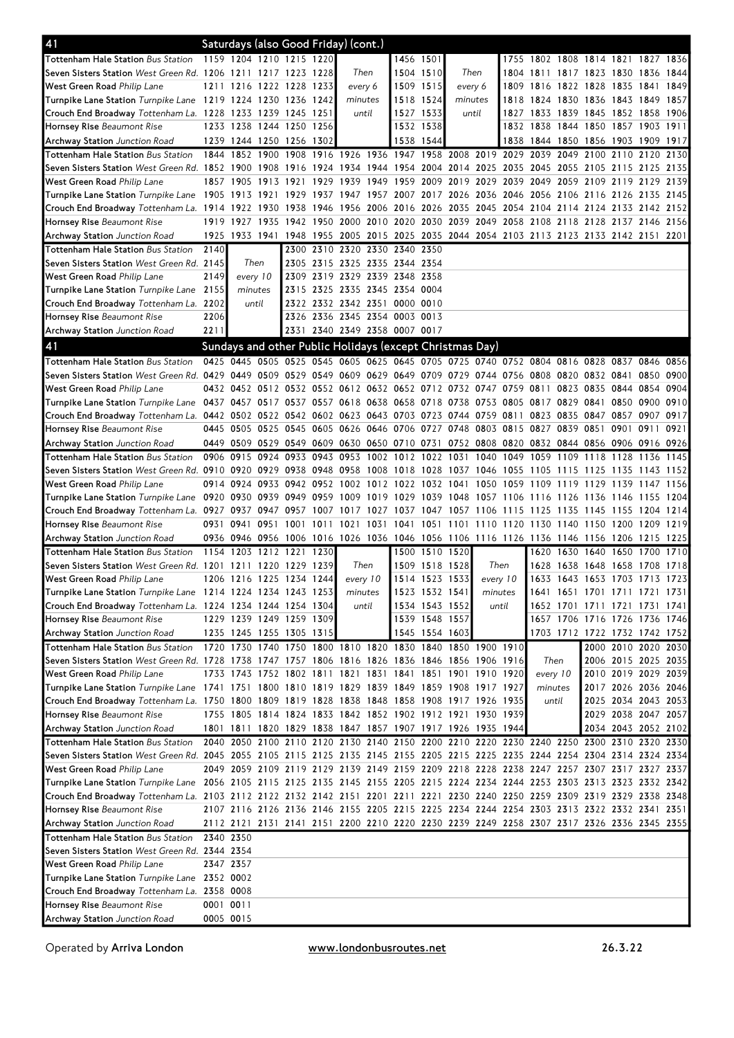| 41                                                                                                                             |           |                |           | Saturdays (also Good Friday) (cont.)       |                |                  |       |                                                                                           |                                  |           |                     |           |                                              |      |                                            |                     |           |      |
|--------------------------------------------------------------------------------------------------------------------------------|-----------|----------------|-----------|--------------------------------------------|----------------|------------------|-------|-------------------------------------------------------------------------------------------|----------------------------------|-----------|---------------------|-----------|----------------------------------------------|------|--------------------------------------------|---------------------|-----------|------|
| <b>Tottenham Hale Station Bus Station</b>                                                                                      |           |                |           | 1159 1204 1210 1215 1220                   |                |                  |       | 1456 1501                                                                                 |                                  |           |                     |           | 1755 1802 1808 1814 1821 1827 1836           |      |                                            |                     |           |      |
| Seven Sisters Station West Green Rd. 1206 1211 1217 1223 1228                                                                  |           |                |           |                                            |                | Then             |       |                                                                                           | 1504 1510                        | Then      |                     | 1804      | 1811                                         |      | 1817 1823 1830 1836                        |                     |           | 1844 |
| West Green Road Philip Lane                                                                                                    | 1211 1216 |                |           | 1222 1228 1233                             |                | every 6          |       |                                                                                           | 1509 1515                        | every 6   |                     | 1809      | 1816                                         |      | 1822 1828 1835                             |                     | 1841      | 1849 |
| Turnpike Lane Station Turnpike Lane 1219 1224 1230 1236 1242                                                                   |           |                |           |                                            |                | minutes          |       |                                                                                           | 1518 1524                        | minutes   |                     | 1818      |                                              |      | 1824 1830 1836 1843 1849                   |                     |           | 1857 |
| Crouch End Broadway Tottenham La. 1228 1233 1239 1245 1251                                                                     |           |                |           |                                            |                |                  | until |                                                                                           | 1527 1533                        | until     |                     | 1827      |                                              |      | 1833 1839 1845 1852 1858                   |                     |           | 1906 |
| Hornsey Rise Beaumont Rise                                                                                                     |           |                |           | 1233 1238 1244 1250 1256                   |                |                  |       |                                                                                           | 1532 1538                        |           |                     |           | 1832 1838 1844 1850 1857 1903 1911           |      |                                            |                     |           |      |
| <b>Archway Station</b> Junction Road                                                                                           |           |                |           | 1239 1244 1250 1256 1302                   |                |                  |       |                                                                                           | 1538 1544                        |           |                     |           | 1838 1844 1850 1856 1903 1909 1917           |      |                                            |                     |           |      |
| <b>Tottenham Hale Station Bus Station</b>                                                                                      | 1844      | 1852           | 1900      | 1908                                       |                |                  |       | 1916 1926 1936 1947 1958                                                                  |                                  |           | 2008 2019 2029 2039 |           |                                              | 2049 | 2100 2110                                  |                     | 2120      | 2130 |
| Seven Sisters Station West Green Rd. 1852 1900                                                                                 |           |                | 1908      | 1916 1924                                  |                |                  |       | 1934 1944 1954 2004                                                                       |                                  | 2014 2025 |                     | 2035      | 2045                                         | 2055 | 2105 2115                                  |                     | 2125 2135 |      |
| West Green Road Philip Lane                                                                                                    |           | 1857 1905      | 1913      | 1921                                       | 1929           | 1939             | 1949  | 1959 2009                                                                                 |                                  | 2019 2029 |                     | 2039      | 2049                                         | 2059 | 2109 2119                                  |                     | 2129      | 2139 |
| Turnpike Lane Station Turnpike Lane 1905 1913 1921                                                                             |           |                |           | 1929                                       | 1937           |                  |       | 1947 1957 2007 2017 2026 2036 2046 2056 2106 2116 2126 2135 2145                          |                                  |           |                     |           |                                              |      |                                            |                     |           |      |
| Crouch End Broadway Tottenham La. 1914 1922                                                                                    |           |                | 1930      | 1938                                       | 1946           | 1956             |       | 2006 2016 2026                                                                            |                                  |           |                     |           | 2035 2045 2054 2104 2114 2124 2133 2142 2152 |      |                                            |                     |           |      |
| Hornsey Rise Beaumont Rise                                                                                                     |           | 1919 1927      | 1935      | 1942 1950 2000 2010                        |                |                  |       | 2020 2030                                                                                 |                                  |           |                     |           | 2039 2049 2058 2108 2118 2128 2137 2146 2156 |      |                                            |                     |           |      |
| <b>Archway Station</b> Junction Road                                                                                           |           | 1925 1933 1941 |           |                                            | 1948 1955 2005 |                  |       | 2015 2025 2035 2044 2054 2103 2113 2123 2133 2142 2151 2201                               |                                  |           |                     |           |                                              |      |                                            |                     |           |      |
| <b>Tottenham Hale Station Bus Station</b>                                                                                      | 2140      |                |           |                                            |                |                  |       | 2300 2310 2320 2330 2340 2350                                                             |                                  |           |                     |           |                                              |      |                                            |                     |           |      |
| Seven Sisters Station West Green Rd. 2145                                                                                      |           | Then           |           |                                            |                |                  |       | 2305 2315 2325 2335 2344 2354                                                             |                                  |           |                     |           |                                              |      |                                            |                     |           |      |
| West Green Road Philip Lane                                                                                                    | 2149      | every 10       |           | 2309                                       | 2319           | 2329             | 2339  | 2348 2358                                                                                 |                                  |           |                     |           |                                              |      |                                            |                     |           |      |
| Turnpike Lane Station Turnpike Lane                                                                                            | 2155      | minutes        |           |                                            |                |                  |       | 2315 2325 2335 2345 2354 0004                                                             |                                  |           |                     |           |                                              |      |                                            |                     |           |      |
| Crouch End Broadway Tottenham La.                                                                                              | 2202      | until          |           |                                            |                |                  |       | 2322 2332 2342 2351 0000 0010                                                             |                                  |           |                     |           |                                              |      |                                            |                     |           |      |
| Hornsey Rise Beaumont Rise                                                                                                     | 2206      |                |           |                                            |                |                  |       | 2326 2336 2345 2354 0003 0013                                                             |                                  |           |                     |           |                                              |      |                                            |                     |           |      |
| Archway Station Junction Road                                                                                                  | 2211      |                |           |                                            |                |                  |       | 2331 2340 2349 2358 0007 0017                                                             |                                  |           |                     |           |                                              |      |                                            |                     |           |      |
| 41                                                                                                                             |           |                |           |                                            |                |                  |       | Sundays and other Public Holidays (except Christmas Day)                                  |                                  |           |                     |           |                                              |      |                                            |                     |           |      |
| <b>Tottenham Hale Station Bus Station</b>                                                                                      | 0425 0445 |                | 0505      | 0525                                       |                |                  |       | 0545 0605 0625 0645 0705 0725 0740 0752 0804 0816 0828 0837 0846 0856                     |                                  |           |                     |           |                                              |      |                                            |                     |           |      |
| Seven Sisters Station West Green Rd. 0429 0449                                                                                 |           |                | 0509 0529 |                                            |                |                  |       | 0549 0609 0629 0649 0709 0729 0744 0756 0808 0820 0832 0841                               |                                  |           |                     |           |                                              |      |                                            |                     | 0850 0900 |      |
| West Green Road Philip Lane                                                                                                    |           |                |           |                                            |                |                  |       | 0432 0452 0512 0532 0552 0612 0632 0652 0712                                              |                                  | 0732 0747 |                     | 0759 0811 |                                              |      | 0823 0835 0844 0854                        |                     |           | 0904 |
| Turnpike Lane Station Turnpike Lane 0437 0457 0517 0537 0557 0618 0638 0658 0718 0738 0753 0805 0817 0829 0841 0850 0900 0910  |           |                |           |                                            |                |                  |       |                                                                                           |                                  |           |                     |           |                                              |      |                                            |                     |           |      |
| Crouch End Broadway Tottenham La. 0442 0502 0522 0542 0602 0623 0643 0703 0723 0744 0759 0811                                  |           |                |           |                                            |                |                  |       |                                                                                           |                                  |           |                     |           |                                              |      | 0823 0835 0847 0857 0907 0917              |                     |           |      |
| Hornsey Rise Beaumont Rise                                                                                                     |           | 0445 0505      |           |                                            |                |                  |       | 0525 0545 0605 0626 0646 0706 0727 0748 0803 0815 0827 0839 0851 0901 0911 0921           |                                  |           |                     |           |                                              |      |                                            |                     |           |      |
| <b>Archway Station</b> Junction Road                                                                                           |           |                |           |                                            |                |                  |       | 0449 0509 0529 0549 0609 0630 0650 0710 0731 0752 0808 0820 0832 0844 0856 0906 0916 0926 |                                  |           |                     |           |                                              |      |                                            |                     |           |      |
| <b>Tottenham Hale Station Bus Station</b>                                                                                      | 0906 0915 |                |           |                                            |                |                  |       | 0924 0933 0943 0953 1002 1012 1022 1031 1040 1049                                         |                                  |           |                     |           | 1059                                         | 1109 | 1118 1128                                  |                     | 1136      | 1145 |
| Seven Sisters Station West Green Rd. 0910 0920                                                                                 |           |                |           |                                            |                |                  |       | 0929 0938 0948 0958 1008 1018 1028 1037 1046 1055 1105                                    |                                  |           |                     |           |                                              | 1115 | 1125 1135 1143 1152                        |                     |           |      |
| West Green Road Philip Lane                                                                                                    | 0914 0924 |                |           | 0933 0942 0952                             |                | 1002             | 1012  | 1022 1032                                                                                 |                                  | 1041      | 1050                | 1059      | 1109                                         | 1119 | 1129 1139                                  |                     | 1147      | 1156 |
| Turnpike Lane Station Turnpike Lane 0920 0930                                                                                  |           |                |           | 0939 0949 0959                             |                |                  |       | 1009 1019 1029 1039 1048 1057 1106 1116 1126 1136 1146 1155 1204                          |                                  |           |                     |           |                                              |      |                                            |                     |           |      |
| Crouch End Broadway Tottenham La. 0927 0937                                                                                    |           |                |           |                                            |                |                  |       | 0947 0957 1007 1017 1027 1037 1047 1057 1106 1115 1125                                    |                                  |           |                     |           |                                              | 1135 | 1145 1155 1204 1214                        |                     |           |      |
| Hornsey Rise Beaumont Rise                                                                                                     | 0931 0941 |                | 0951      | 1001                                       | 1011 1021      |                  |       | 1031 1041 1051 1101 1110 1120 1130 1140 1150 1200 1209 1219                               |                                  |           |                     |           |                                              |      |                                            |                     |           |      |
| <b>Archway Station</b> Junction Road                                                                                           |           |                |           |                                            |                |                  |       | 0936 0946 0956 1006 1016 1026 1036 1046 1056 1106 1116 1126 1136 1146 1156 1206 1215 1225 |                                  |           |                     |           |                                              |      |                                            |                     |           |      |
| <b>Tottenham Hale Station Bus Station</b>                                                                                      |           |                |           | 1154 1203 1212 1221 1230                   |                |                  |       |                                                                                           | 1500 1510 1520                   |           |                     |           | 1620                                         | 1630 | 1640 1650 1700                             |                     |           | 1710 |
| Seven Sisters Station West Green Rd. 1201 1211                                                                                 |           |                |           | 1220 1229 1239<br>1206 1216 1225 1234 1244 |                | Then<br>every 10 |       |                                                                                           | 1509 1518 1528<br>1514 1523 1533 |           | Then<br>every 10    |           | 1628                                         | 1638 | 1648 1658<br>1633 1643 1653 1703 1713 1723 |                     | 1708      | 1718 |
| West Green Road Philip Lane<br>Turnpike Lane Station Turnpike Lane 1214 1224 1234 1243 1253                                    |           |                |           |                                            |                | minutes          |       |                                                                                           | 1523 1532 1541                   |           | minutes             |           | 1641                                         |      | 1651 1701 1711 1721 1731                   |                     |           |      |
| Crouch End Broadway Tottenham La. 1224 1234 1244 1254 1304                                                                     |           |                |           |                                            |                |                  | until |                                                                                           | 1534 1543 1552                   |           | until               |           |                                              |      | 1652 1701 1711 1721 1731 1741              |                     |           |      |
| Hornsey Rise Beaumont Rise                                                                                                     |           |                |           | 1229 1239 1249 1259 1309                   |                |                  |       |                                                                                           | 1539 1548 1557                   |           |                     |           |                                              |      | 1657 1706 1716 1726 1736 1746              |                     |           |      |
| <b>Archway Station</b> Junction Road                                                                                           |           |                |           | 1235 1245 1255 1305 1315                   |                |                  |       |                                                                                           | 1545 1554 1603                   |           |                     |           |                                              |      | 1703 1712 1722 1732 1742 1752              |                     |           |      |
| <b>Tottenham Hale Station Bus Station</b>                                                                                      |           |                |           |                                            |                |                  |       | 1720 1730 1740 1750 1800 1810 1820 1830 1840 1850 1900 1910                               |                                  |           |                     |           |                                              |      |                                            | 2000 2010 2020 2030 |           |      |
| Seven Sisters Station West Green Rd. 1728 1738 1747 1757 1806 1816 1826 1836 1846 1856 1906 1916                               |           |                |           |                                            |                |                  |       |                                                                                           |                                  |           |                     |           | Then                                         |      |                                            | 2006 2015 2025 2035 |           |      |
| West Green Road Philip Lane                                                                                                    |           |                |           |                                            |                |                  |       | 1733 1743 1752 1802 1811 1821 1831 1841 1851 1901 1910 1920                               |                                  |           |                     |           | every 10                                     |      |                                            | 2010 2019 2029 2039 |           |      |
| Turnpike Lane Station Turnpike Lane 1741 1751 1800 1810 1819 1829 1839 1849 1859 1908 1917 1927                                |           |                |           |                                            |                |                  |       |                                                                                           |                                  |           |                     |           | minutes                                      |      |                                            | 2017 2026 2036 2046 |           |      |
| Crouch End Broadway Tottenham La. 1750 1800 1809 1819 1828 1838 1848 1858 1908 1917 1926 1935                                  |           |                |           |                                            |                |                  |       |                                                                                           |                                  |           |                     |           | until                                        |      |                                            | 2025 2034 2043 2053 |           |      |
| Hornsey Rise Beaumont Rise                                                                                                     |           |                |           |                                            |                |                  |       | 1755 1805 1814 1824 1833 1842 1852 1902 1912 1921 1930 1939                               |                                  |           |                     |           |                                              |      |                                            | 2029 2038 2047 2057 |           |      |
| <b>Archway Station</b> Junction Road                                                                                           |           |                |           |                                            |                |                  |       | 1801 1811 1820 1829 1838 1847 1857 1907 1917 1926 1935 1944                               |                                  |           |                     |           |                                              |      |                                            | 2034 2043 2052 2102 |           |      |
| Tottenham Hale Station Bus Station                                                                                             |           |                |           |                                            |                |                  |       | 2040 2050 2100 2110 2120 2130 2140 2150 2200 2210 2220 2230 2240 2250 2300 2310 2320 2330 |                                  |           |                     |           |                                              |      |                                            |                     |           |      |
| Seven Sisters Station West Green Rd. 2045 2055 2105 2115 2125 2135 2145 2155 2205 2215 2225 2235 2244 2254 2304 2314 2324 2334 |           |                |           |                                            |                |                  |       |                                                                                           |                                  |           |                     |           |                                              |      |                                            |                     |           |      |
| West Green Road Philip Lane                                                                                                    |           |                |           |                                            |                |                  |       | 2049 2059 2109 2119 2129 2139 2149 2159 2209 2218 2228 2238 2247 2257 2307 2317 2327 2337 |                                  |           |                     |           |                                              |      |                                            |                     |           |      |
| Turnpike Lane Station Turnpike Lane 2056 2105 2115 2125 2135 2145 2155 2205 2215 2224 2234 2244 2253 2303 2313 2323 2332 2342  |           |                |           |                                            |                |                  |       |                                                                                           |                                  |           |                     |           |                                              |      |                                            |                     |           |      |
| Crouch End Broadway Tottenham La. 2103 2112 2122 2132 2142 2151 2201 2211 2221 2230 2240 2250 2259 2309 2319 2329 2338 2348    |           |                |           |                                            |                |                  |       |                                                                                           |                                  |           |                     |           |                                              |      |                                            |                     |           |      |
| Hornsey Rise Beaumont Rise                                                                                                     |           |                |           |                                            |                |                  |       | 2107 2116 2126 2136 2146 2155 2205 2215 2225 2234 2244 2254 2303 2313 2322 2332 2341 2351 |                                  |           |                     |           |                                              |      |                                            |                     |           |      |
| Archway Station Junction Road                                                                                                  |           |                |           |                                            |                |                  |       | 2112 2121 2131 2141 2151 2200 2210 2220 2230 2239 2249 2258 2307 2317 2326 2336 2345 2355 |                                  |           |                     |           |                                              |      |                                            |                     |           |      |
| <b>Tottenham Hale Station Bus Station</b>                                                                                      | 2340 2350 |                |           |                                            |                |                  |       |                                                                                           |                                  |           |                     |           |                                              |      |                                            |                     |           |      |
| Seven Sisters Station West Green Rd. 2344 2354                                                                                 |           |                |           |                                            |                |                  |       |                                                                                           |                                  |           |                     |           |                                              |      |                                            |                     |           |      |
| West Green Road Philip Lane                                                                                                    |           | 2347 2357      |           |                                            |                |                  |       |                                                                                           |                                  |           |                     |           |                                              |      |                                            |                     |           |      |
| Turnpike Lane Station Turnpike Lane 2352 0002                                                                                  |           |                |           |                                            |                |                  |       |                                                                                           |                                  |           |                     |           |                                              |      |                                            |                     |           |      |
| Crouch End Broadway Tottenham La. 2358 0008                                                                                    |           |                |           |                                            |                |                  |       |                                                                                           |                                  |           |                     |           |                                              |      |                                            |                     |           |      |
| Hornsey Rise Beaumont Rise                                                                                                     | 0001 0011 |                |           |                                            |                |                  |       |                                                                                           |                                  |           |                     |           |                                              |      |                                            |                     |           |      |
| Archway Station Junction Road                                                                                                  | 0005 0015 |                |           |                                            |                |                  |       |                                                                                           |                                  |           |                     |           |                                              |      |                                            |                     |           |      |

Operated by Arriva London **WWW.londonbusroutes.net** 26.3.22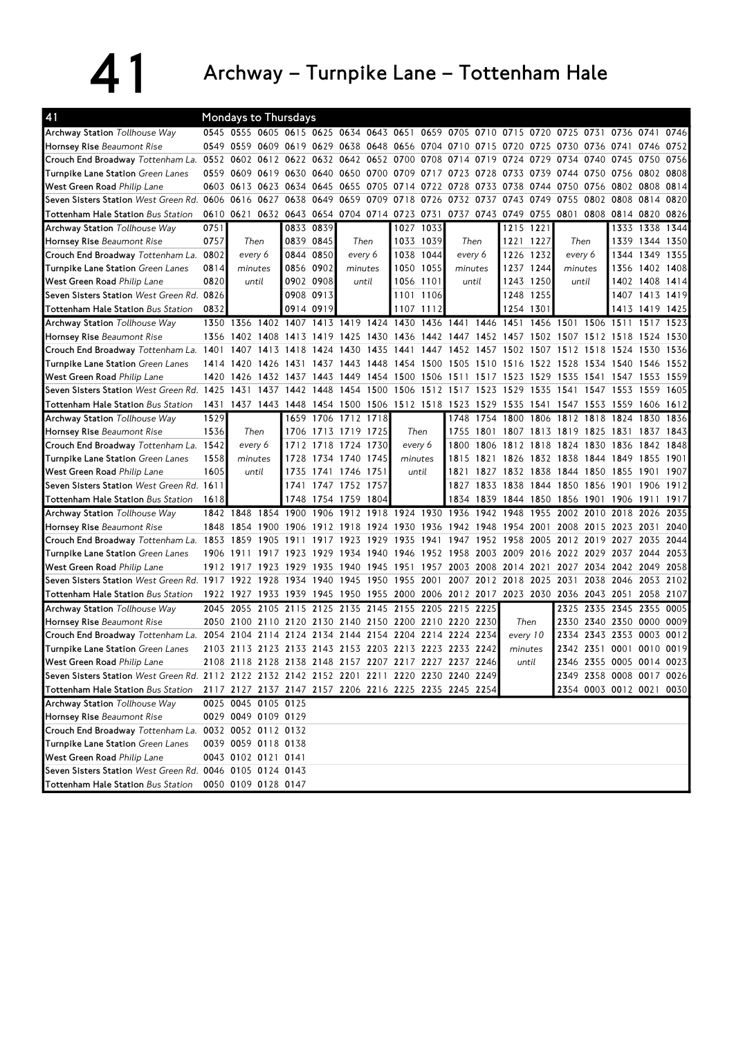## 41 Archway – Turnpike Lane – Tottenham Hale

| 41                                                                                          | <b>Mondays to Thursdays</b> |                     |           |                                    |           |                     |           |                     |           |                                                                            |                |           |           |                                    |                |                          |           |      |
|---------------------------------------------------------------------------------------------|-----------------------------|---------------------|-----------|------------------------------------|-----------|---------------------|-----------|---------------------|-----------|----------------------------------------------------------------------------|----------------|-----------|-----------|------------------------------------|----------------|--------------------------|-----------|------|
| Archway Station Tollhouse Way                                                               |                             |                     |           |                                    |           |                     |           |                     |           | 0545 0555 0605 0615 0625 0634 0643 0651 0659 0705 0710 0715 0720 0725 0731 |                |           |           |                                    |                | 0736 0741                |           | 0746 |
| Hornsey Rise Beaumont Rise                                                                  |                             | 0549 0559 0609 0619 |           |                                    | 0629      |                     |           |                     |           | 0638 0648 0656 0704 0710 0715 0720                                         |                |           | 0725      | 0730                               | 0736 0741      |                          | 0746 0752 |      |
| Crouch End Broadway Tottenham La. 0552                                                      |                             | 0602 0612 0622      |           |                                    |           | 0632 0642 0652 0700 |           |                     | 0708      | 0714                                                                       | 0719           | 0724      | 0729      | 0734                               | 0740 0745      |                          | 0750      | 0756 |
| Turnpike Lane Station Green Lanes                                                           | 0559                        | 0609                | 0619      | 0630                               | 0640      | 0650                | 0700      | 0709                | 0717      | 0723                                                                       | 28<br>07       | 0733      | 0739      | 0744                               | 0750 0756      |                          | 0802      | 0808 |
| West Green Road Philip Lane                                                                 |                             | 0603 0613           |           | 0623 0634 0645                     |           | 0655 0705           |           | 0714                | 0722      | 0728                                                                       | 0733           | 0738      | 0744      | 0750                               |                | 0756 0802 0808           |           | 0814 |
| Seven Sisters Station West Green Rd.                                                        | 0606                        | 0616                | 0627      | 0638                               | 0649      | 0659                | 0709      | 0718                | 0726      | 0732 0737                                                                  |                | 0743      | 0749      | 0755                               | 0802 0808      |                          | 0814      | 0820 |
| <b>Tottenham Hale Station Bus Station</b>                                                   | 0610                        | 0621                |           | 0632 0643 0654 0704 0714 0723 0731 |           |                     |           |                     |           |                                                                            | 0737 0743 0749 |           | 0755      | 0801                               |                | 0808 0814 0820 0826      |           |      |
| <b>Archway Station Tollhouse Way</b>                                                        | 0751                        |                     |           |                                    | 0833 0839 |                     |           | 1027                | 1033      |                                                                            |                | 1215      | 1221      |                                    |                | 1333 1338                |           | 1344 |
| Hornsey Rise Beaumont Rise                                                                  | 0757                        | Then                |           |                                    | 0839 0845 | Then                |           |                     | 1033 1039 | Then                                                                       |                | 1221      | 1227      | Then                               |                | 1339                     | 1344 1350 |      |
| Crouch End Broadway Tottenham La.                                                           | 0802                        | every 6             |           |                                    | 0844 0850 | every 6             |           |                     | 1038 1044 | every 6                                                                    |                | 1226 1232 |           | every 6                            |                | 1344                     | 1349 1355 |      |
| Turnpike Lane Station Green Lanes                                                           | 0814                        | minutes             |           |                                    | 0856 0902 | minutes             |           | 1050                | 1055      | minutes                                                                    |                | 1237      | 1244      | minutes                            |                | 1356                     | 1402      | 1408 |
| West Green Road Philip Lane                                                                 | 0820                        | until               |           |                                    | 0902 0908 | until               |           | 1056                | 1101      | until                                                                      |                | 1243      | 1250      | until                              |                | 1402                     | 1408      | 1414 |
| Seven Sisters Station West Green Rd.                                                        | 0826                        |                     |           |                                    | 0908 0913 |                     |           | 1101                | 1106      |                                                                            |                | 1248      | 1255      |                                    |                | 1407 1413                |           | 1419 |
| <b>Tottenham Hale Station Bus Station</b>                                                   | 0832                        |                     |           | 0914 0919                          |           |                     |           | 1107                | 1112      |                                                                            |                | 1254 1301 |           |                                    |                | 1413                     | 1419      | 1425 |
| <b>Archway Station Tollhouse Way</b>                                                        |                             | 1350 1356 1402 1407 |           |                                    |           | 1413 1419 1424 1430 |           |                     |           | 1436 1441 1446 1451                                                        |                |           | 1456 1501 |                                    | 1506 1511      |                          | 1517      | 1523 |
| Hornsey Rise Beaumont Rise                                                                  | 1356                        | 1402 1408 1413      |           |                                    | 1419      | 1425                | 1430 1436 |                     |           | 1442 1447 1452                                                             |                |           |           | 1457 1502 1507 1512 1518           |                |                          | 1524 1530 |      |
| Crouch End Broadway Tottenham La. 1401                                                      |                             | 1407                | 1413      | 1418                               | 1424      | 1430                | 1435      | 1441                | 1447      | 1452                                                                       |                | 1502      | 1507      | 1512                               | 1518           | 1524                     | 1530      | 1536 |
| Turnpike Lane Station Green Lanes                                                           | 1414                        | 1420                | 1426      | 1431                               | 1437      | 1443                | 1448      | 1454                | 1500      | 1505                                                                       | 1510           | 1516      | 1522      | 1528                               | 1534           | 1540                     | 1546      | 1552 |
| West Green Road Philip Lane                                                                 | 1420                        | 1426                | 1432      | 1437                               | 1443      | 1449                | 1454      | 1500                | 1506      | 1511                                                                       | 1517           | 1523      | 1529      | 1535                               | 1541 1547      |                          | 1553      | 1559 |
| Seven Sisters Station West Green Rd. 1425                                                   |                             | 1431                | 1437      | 1442                               | 1448      |                     | 1454 1500 | 1506                | 1512      | 1517 1523                                                                  |                | 1529      | 1535      | 1541                               | 1547 1553      |                          | 1559      | 1605 |
| Tottenham Hale Station Bus Station                                                          | 1431                        |                     |           |                                    |           |                     |           |                     |           | 1437 1443 1448 1454 1500 1506 1512 1518 1523 1529 1535                     |                |           |           | 1541 1547 1553 1559                |                |                          | 1606      | 1612 |
| <b>Archway Station Tollhouse Way</b>                                                        | 1529                        |                     |           | 1659                               |           | 1706 1712 1718      |           |                     |           | 1748                                                                       | 1754           | 1800      | 1806      | 1812                               | 1818           | 1824                     | 1830      | 1836 |
| Hornsey Rise Beaumont Rise                                                                  | 1536                        | Then                |           | 1706                               |           | 1713 1719 1725      |           | Then                |           | 1755                                                                       | 1801           |           | 1807 1813 | 1819                               | 1825 1831      |                          | 1837      | 1843 |
| Crouch End Broadway Tottenham La.                                                           | 1542                        | every 6             |           | 1712                               |           | 1718 1724 1730      |           | every 6             |           | 1800                                                                       | 1806           | 1812      | 1818      | 1824                               | 1830 1836      |                          | 1842      | 1848 |
| Turnpike Lane Station Green Lanes                                                           | 1558                        | minutes             |           | 1728                               |           | 1734 1740 1745      |           | minutes             |           | 1815                                                                       | 1821           | 1826      | 1832 1838 |                                    | 1844 1849      |                          | 1855      | 1901 |
| West Green Road Philip Lane                                                                 | 1605                        | until               |           | 1735                               | 1741      | 1746 1751           |           | until               |           | 1821                                                                       | 1827           | 1832      | 1838      | 1844                               | 1850           | 1855                     | 1901      | 1907 |
| Seven Sisters Station West Green Rd. 1611                                                   |                             |                     |           | 1741                               |           | 1747 1752 1757      |           |                     |           |                                                                            | 1827 1833      | 1838      | 1844      |                                    | 1850 1856 1901 |                          | 1906      | 1912 |
| <b>Tottenham Hale Station Bus Station</b>                                                   | 1618                        |                     |           | 1748                               |           | 1754 1759 1804      |           |                     |           |                                                                            |                |           |           | 1834 1839 1844 1850 1856 1901 1906 |                |                          | 1911      | 1917 |
| <b>Archway Station</b> Tollhouse Way                                                        |                             | 1842 1848           |           | 1854 1900                          | 1906      | 1912                | 1918      | 1924                | 1930      | 1936                                                                       | 1942           | 1948      | 1955      | 2002                               | 2010           | 2018                     | 2026      | 2035 |
| Hornsey Rise Beaumont Rise                                                                  | 1848                        | 1854 1900           |           | 1906                               | 1912      | 1918                | 1924      | 1930                | 1936      |                                                                            | 1942 1948      | 1954      | 2001      | 2008                               | 2015 2023      |                          | 2031      | 2040 |
| Crouch End Broadway Tottenham La. 1853                                                      |                             | 1859                | 1905      | 1911                               | 1917      | 1923                | 1929      | 1935                | 1941      | 1947                                                                       | 1952           | 1958      | 2005      | 2012                               | 2019           | 2027                     | 2035      | 2044 |
| Turnpike Lane Station Green Lanes                                                           | 1906                        | 1911                | 1917      | 1923                               | 1929      | 1934                | 1940      | 1946                | 1952      | 1958                                                                       | 2003           | 2009      | 2016      | 2022                               | 2029 2037      |                          | 2044      | 2053 |
| <b>West Green Road</b> Philip Lane                                                          |                             | 1912 1917           | 1923 1929 |                                    | 1935      |                     |           | 1940 1945 1951 1957 |           |                                                                            | 2003 2008 2014 |           | 2021      |                                    |                | 2027 2034 2042 2049      |           | 2058 |
| Seven Sisters Station West Green Rd. 1917 1922 1928 1934 1940                               |                             |                     |           |                                    |           | 1945 1950           |           | 1955                | 2001      |                                                                            | 2007 2012 2018 |           | 2025      | 2031                               | 2038 2046      |                          | 2053      | 2102 |
| Tottenham Hale Station Bus Station                                                          |                             | 1922 1927 1933 1939 |           |                                    | 1945      |                     |           |                     |           | 1950 1955 2000 2006 2012 2017 2023 2030 2036 2043 2051                     |                |           |           |                                    |                |                          | 2058 2107 |      |
| <b>Archway Station Tollhouse Way</b>                                                        | 2045                        | 2055                |           | 2105 2115                          | 2125      | 2135                | 2145      | 2155 2205           |           | 2215 2225                                                                  |                |           |           | 2325                               | 2335 2345      |                          | 2355      | 0005 |
| Hornsey Rise Beaumont Rise                                                                  | 2050                        | 2100                | 2110      | 2120                               | 2130      |                     | 2140 2150 | 2200                | 2210      | 2220 2230                                                                  |                | Then      |           | 2330                               | 2340 2350      |                          | 0000      | 0009 |
| Crouch End Broadway Tottenham La. 2054                                                      |                             | 2104                | 2114      | 2124                               | 2134      | 2144                | 2154      | 2204                | 2214      | 2224                                                                       | 2234           | every 10  |           | 2334                               | 2343 2353      |                          | 0003      | 0012 |
| Turnpike Lane Station Green Lanes                                                           |                             |                     |           |                                    |           |                     |           |                     |           | 2103 2113 2123 2133 2143 2153 2203 2213 2223 2233 2242                     |                | minutes   |           |                                    |                | 2342 2351 0001 0010 0019 |           |      |
| West Green Road Philip Lane                                                                 |                             |                     |           |                                    |           |                     |           |                     |           | 2108 2118 2128 2138 2148 2157 2207 2217 2227 2237 2246                     |                | until     |           |                                    |                | 2346 2355 0005 0014 0023 |           |      |
| Seven Sisters Station West Green Rd. 2112 2122 2132 2142 2152 2201 2211 2220 2230 2240 2249 |                             |                     |           |                                    |           |                     |           |                     |           |                                                                            |                |           |           |                                    |                | 2349 2358 0008 0017 0026 |           |      |
| Tottenham Hale Station Bus Station                                                          |                             |                     |           |                                    |           |                     |           |                     |           | 2117 2127 2137 2147 2157 2206 2216 2225 2235 2245 2254                     |                |           |           |                                    |                | 2354 0003 0012 0021 0030 |           |      |
| Archway Station Tollhouse Way                                                               |                             | 0025 0045 0105 0125 |           |                                    |           |                     |           |                     |           |                                                                            |                |           |           |                                    |                |                          |           |      |
| Hornsey Rise Beaumont Rise                                                                  |                             | 0029 0049 0109 0129 |           |                                    |           |                     |           |                     |           |                                                                            |                |           |           |                                    |                |                          |           |      |
| Crouch End Broadway Tottenham La.                                                           |                             | 0032 0052 0112 0132 |           |                                    |           |                     |           |                     |           |                                                                            |                |           |           |                                    |                |                          |           |      |
| Turnpike Lane Station Green Lanes                                                           |                             | 0039 0059 0118 0138 |           |                                    |           |                     |           |                     |           |                                                                            |                |           |           |                                    |                |                          |           |      |
| West Green Road Philip Lane                                                                 |                             | 0043 0102 0121 0141 |           |                                    |           |                     |           |                     |           |                                                                            |                |           |           |                                    |                |                          |           |      |
| Seven Sisters Station West Green Rd. 0046 0105 0124 0143                                    |                             |                     |           |                                    |           |                     |           |                     |           |                                                                            |                |           |           |                                    |                |                          |           |      |
| Tottenham Hale Station Bus Station                                                          |                             | 0050 0109 0128 0147 |           |                                    |           |                     |           |                     |           |                                                                            |                |           |           |                                    |                |                          |           |      |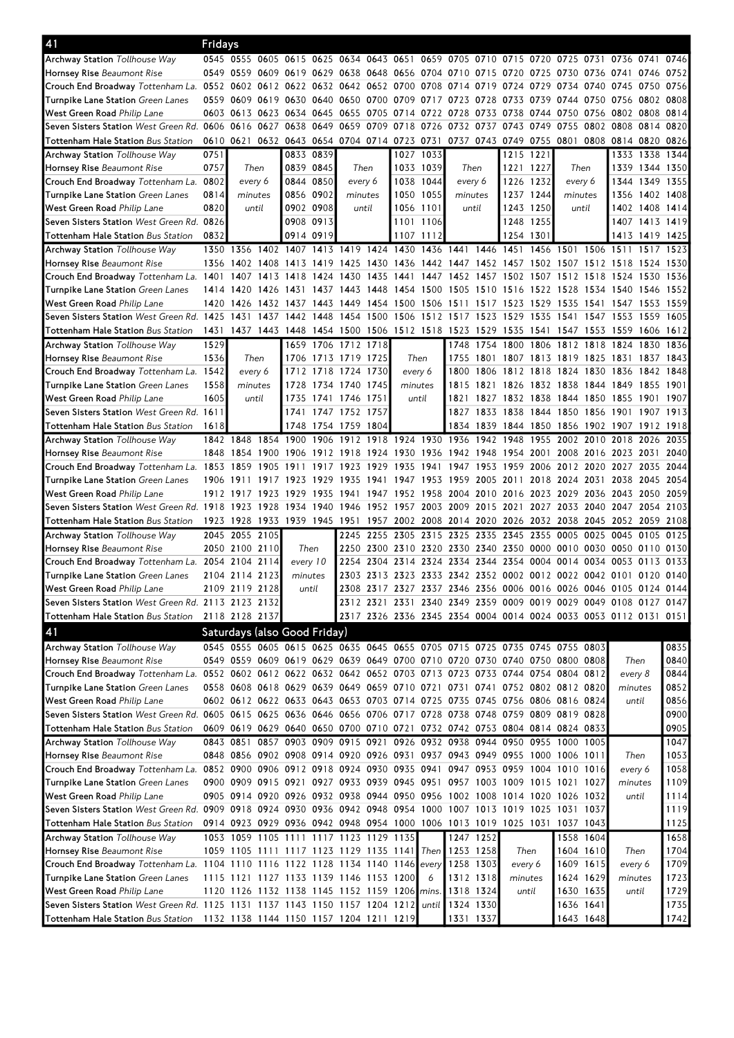| 41                                                                                                              | Fridays        |                                               |           |                |      |                          |      |                |           |                                                                                           |                |           |           |                                    |           |                                              |           |                |
|-----------------------------------------------------------------------------------------------------------------|----------------|-----------------------------------------------|-----------|----------------|------|--------------------------|------|----------------|-----------|-------------------------------------------------------------------------------------------|----------------|-----------|-----------|------------------------------------|-----------|----------------------------------------------|-----------|----------------|
| <b>Archway Station</b> Tollhouse Way                                                                            |                |                                               |           |                |      |                          |      |                |           | 0545 0555 0605 0615 0625 0634 0643 0651 0659 0705 0710 0715 0720 0725 0731 0736 0741      |                |           |           |                                    |           |                                              |           | 0746           |
| Hornsey Rise Beaumont Rise                                                                                      |                |                                               |           |                |      |                          |      |                |           | 0549 0559 0609 0619 0629 0638 0648 0656 0704 0710 0715 0720 0725 0730 0736 0741 0746 0752 |                |           |           |                                    |           |                                              |           |                |
| Crouch End Broadway Tottenham La. 0552 0602 0612 0622 0632 0642 0652 0700 0708 0714                             |                |                                               |           |                |      |                          |      |                |           |                                                                                           | 0719           | 0724      | 0729      | 0734                               | 0740      | 0745                                         | 0750      | 0756           |
| Turnpike Lane Station Green Lanes                                                                               |                |                                               |           |                |      |                          |      |                |           | 0559 0609 0619 0630 0640 0650 0700 0709 0717 0723 0728 0733                               |                |           |           |                                    |           | 0739 0744 0750 0756 0802                     |           | 0808           |
| West Green Road Philip Lane                                                                                     |                | 0603 0613 0623 0634 0645                      |           |                |      |                          |      |                |           | 0655 0705 0714 0722 0728 0733 0738                                                        |                |           |           |                                    |           | 0744 0750 0756 0802 0808 0814                |           |                |
| Seven Sisters Station West Green Rd. 0606 0616                                                                  |                |                                               | 0627      | 0638 0649      |      | 0659 0709 0718 0726      |      |                |           | 0732 0737                                                                                 |                | 0743      | 0749      | 0755                               |           | 0802 0808 0814                               |           | 0820           |
| Tottenham Hale Station Bus Station                                                                              |                | 0610 0621 0632 0643 0654 0704 0714 0723 0731  |           |                |      |                          |      |                |           |                                                                                           |                |           |           |                                    |           | 0737 0743 0749 0755 0801 0808 0814 0820      |           | 0826           |
| Archway Station Tollhouse Way                                                                                   | 0751           |                                               |           | 0833 0839      |      |                          |      |                | 1027 1033 |                                                                                           |                |           | 1215 1221 |                                    |           |                                              |           | 1333 1338 1344 |
| Hornsey Rise Beaumont Rise                                                                                      | 0757           | Then                                          |           | 0839 0845      |      | Then                     |      |                | 1033 1039 | Then                                                                                      |                |           | 1221 1227 | Then                               |           | 1339                                         |           | 1344 1350      |
| Crouch End Broadway Tottenham La.                                                                               | 0802           | every 6                                       |           | 0844 0850      |      | every 6                  |      |                | 1038 1044 | every 6                                                                                   |                |           | 1226 1232 | every 6                            |           |                                              | 1344 1349 | 1355           |
| Turnpike Lane Station Green Lanes                                                                               | 0814           | minutes                                       |           | 0856 0902      |      | minutes                  |      |                | 1050 1055 | minutes                                                                                   |                |           | 1237 1244 | minutes                            |           |                                              |           | 1356 1402 1408 |
| West Green Road Philip Lane                                                                                     | 0820           | until                                         |           | 0902 0908      |      | until                    |      |                | 1056 1101 | until                                                                                     |                |           | 1243 1250 | until                              |           |                                              |           | 1402 1408 1414 |
| Seven Sisters Station West Green Rd. 0826                                                                       |                |                                               |           | 0908 0913      |      |                          |      |                | 1101 1106 |                                                                                           |                |           | 1248 1255 |                                    |           |                                              |           | 1407 1413 1419 |
| Tottenham Hale Station Bus Station                                                                              | 0832           |                                               |           | 0914 0919      |      |                          |      |                | 1107 1112 |                                                                                           |                |           | 1254 1301 |                                    |           |                                              |           | 1413 1419 1425 |
| <b>Archway Station Tollhouse Way</b>                                                                            |                |                                               |           |                |      |                          |      |                |           | 1350 1356 1402 1407 1413 1419 1424 1430 1436 1441 1446 1451                               |                |           |           |                                    |           | 1456 1501 1506 1511 1517                     |           | 1523           |
| Hornsey Rise Beaumont Rise                                                                                      |                | 1356 1402 1408 1413 1419                      |           |                |      |                          |      |                |           | 1425 1430 1436 1442 1447 1452 1457 1502 1507 1512 1518 1524 1530                          |                |           |           |                                    |           |                                              |           |                |
| Crouch End Broadway Tottenham La.                                                                               | 1401           | 1407                                          | 1413 1418 |                | 1424 | 1430 1435 1441           |      |                | 1447      |                                                                                           | 1452 1457      |           |           |                                    |           | 1502 1507 1512 1518 1524 1530                |           | 1536           |
| Turnpike Lane Station Green Lanes                                                                               |                |                                               |           |                |      |                          |      |                |           | 1414 1420 1426 1431 1437 1443 1448 1454 1500 1505 1510 1516                               |                |           |           |                                    |           | 1522 1528 1534 1540 1546                     |           | 1552           |
|                                                                                                                 | 1420           |                                               |           | 1432 1437 1443 |      | 1449 1454 1500 1506      |      |                |           | 1511                                                                                      |                |           |           |                                    |           | 1535 1541 1547 1553                          |           | 1559           |
| West Green Road Philip Lane<br>Seven Sisters Station West Green Rd. 1425                                        |                | 1426<br>1431 1437 1442 1448                   |           |                |      |                          |      |                |           | 1454 1500 1506 1512 1517 1523                                                             | 1517 1523      |           | 1529      |                                    |           | 1547 1553                                    |           | 1605           |
|                                                                                                                 |                |                                               |           |                |      |                          |      |                |           |                                                                                           |                | 1529      | 1535      | 1541                               |           |                                              | 1559      |                |
| Tottenham Hale Station Bus Station                                                                              |                |                                               |           |                |      |                          |      |                |           | 1431 1437 1443 1448 1454 1500 1506 1512 1518 1523 1529                                    |                | 1535      | 1541      |                                    |           | 1547 1553 1559 1606                          |           | 1612           |
| <b>Archway Station Tollhouse Way</b>                                                                            | 1529           |                                               |           |                |      | 1659 1706 1712           | 1718 |                |           |                                                                                           | 1748 1754      | 1800      |           | 1806 1812 1818                     |           | 1824 1830                                    |           | 1836           |
| Hornsey Rise Beaumont Rise                                                                                      | 1536           | Then                                          |           |                |      | 1706 1713 1719 1725      |      | Then           |           |                                                                                           |                |           |           |                                    |           | 1755 1801 1807 1813 1819 1825 1831 1837 1843 |           |                |
| Crouch End Broadway Tottenham La. 1542                                                                          |                | every 6                                       |           |                |      | 1712 1718 1724 1730      |      | every 6        |           |                                                                                           |                |           |           |                                    |           | 1800 1806 1812 1818 1824 1830 1836 1842 1848 |           |                |
| Turnpike Lane Station Green Lanes                                                                               | 1558           | minutes                                       |           | 1728           |      | 1734 1740 1745           |      | minutes        |           |                                                                                           | 1815 1821 1826 |           |           |                                    |           | 1832 1838 1844 1849 1855 1901                |           |                |
| West Green Road Philip Lane                                                                                     | 1605           | until                                         |           | 1735           |      | 1741 1746 1751           |      | until          |           |                                                                                           |                |           |           | 1821 1827 1832 1838 1844 1850 1855 |           |                                              | 1901      | 1907           |
| Seven Sisters Station West Green Rd. 1611                                                                       |                |                                               |           |                |      | 1741 1747 1752 1757      |      |                |           |                                                                                           | 1827 1833 1838 |           |           | 1844 1850 1856 1901                |           |                                              | 1907      | 1913           |
| <b>Tottenham Hale Station Bus Station</b>                                                                       | 1618           |                                               |           | 1748           |      | 1754 1759 1804           |      |                |           |                                                                                           |                |           |           |                                    |           | 1834 1839 1844 1850 1856 1902 1907 1912      |           | 1918           |
| <b>Archway Station Tollhouse Way</b>                                                                            |                | 1842 1848                                     |           | 1854 1900      | 1906 | 1912                     |      | 1918 1924 1930 |           | 1936 1942                                                                                 |                | 1948      | 1955      | 2002                               | 2010      | 2018                                         | 2026      | 2035           |
| Hornsey Rise Beaumont Rise                                                                                      | 1848           | 1854 1900 1906                                |           |                |      | 1912 1918 1924 1930 1936 |      |                |           | 1942 1948                                                                                 |                | 1954 2001 |           |                                    |           | 2008 2016 2023 2031                          |           | 2040           |
| Crouch End Broadway Tottenham La. 1853 1859 1905                                                                |                |                                               |           | 1911           | 1917 | 1923                     |      | 1929 1935      | 1941      |                                                                                           | 1947 1953      | 1959      | 2006      |                                    |           | 2012 2020 2027 2035                          |           | 2044           |
| Turnpike Lane Station Green Lanes                                                                               | 1906 1911      |                                               |           | 1917 1923      | 1929 | 1935                     |      | 1941 1947 1953 |           |                                                                                           | 1959 2005 2011 |           |           | 2018 2024 2031 2038                |           |                                              | 2045      | 2054           |
| West Green Road Philip Lane                                                                                     |                | 1912 1917                                     | 1923      | 1929           | 1935 | 1941                     | 1947 | 1952 1958      |           |                                                                                           | 2004 2010      | 2016      | 2023 2029 |                                    |           | 2036 2043 2050                               |           | 2059           |
| Seven Sisters Station West Green Rd. 1918 1923 1928 1934                                                        |                |                                               |           |                |      | 1940 1946 1952 1957 2003 |      |                |           | 2009 2015 2021                                                                            |                |           |           |                                    |           | 2027 2033 2040 2047 2054                     |           | 2103           |
| Tottenham Hale Station Bus Station                                                                              |                | 1923 1928 1933 1939 1945                      |           |                |      | 1951                     | 1957 |                |           | 2002 2008 2014 2020 2026                                                                  |                |           |           |                                    |           | 2032 2038 2045 2052 2059                     |           | 2108           |
| Archway Station Tollhouse Way                                                                                   |                | 2045 2055 2105                                |           |                |      |                          |      |                |           | 2245 2255 2305 2315 2325 2335 2345 2355 0005                                              |                |           |           |                                    | 0025      | 0045                                         | 0105      | 0125           |
| Hornsey Rise Beaumont Rise                                                                                      |                | 2050 2100 2110                                |           | Then           |      | 2250                     |      |                |           | 2300 2310 2320 2330 2340 2350 0000 0010 0030 0050 0110                                    |                |           |           |                                    |           |                                              |           | 0130           |
| Crouch End Broadway Tottenham La. 2054 2104 2114                                                                |                |                                               |           | every 10       |      | 2254                     |      |                |           | 2304 2314 2324 2334 2344 2354 0004 0014 0034 0053                                         |                |           |           |                                    |           |                                              | 0113      | 0133           |
| Turnpike Lane Station Green Lanes                                                                               |                | 2104 2114 2123                                |           | minutes        |      |                          |      |                |           | 2303 2313 2323 2333 2342 2352 0002 0012 0022 0042 0101 0120 0140                          |                |           |           |                                    |           |                                              |           |                |
| West Green Road Philip Lane                                                                                     |                | 2109 2119 2128                                |           | until          |      |                          |      |                |           | 2308 2317 2327 2337 2346 2356 0006 0016 0026 0046 0105 0124 0144                          |                |           |           |                                    |           |                                              |           |                |
| Seven Sisters Station West Green Rd. 2113 2123 2132                                                             |                |                                               |           |                |      |                          |      |                |           | 2312 2321 2331 2340 2349 2359 0009 0019 0029 0049 0108 0127 0147                          |                |           |           |                                    |           |                                              |           |                |
| Tottenham Hale Station Bus Station                                                                              | 2118 2128 2137 |                                               |           |                |      |                          |      |                |           | 2317 2326 2336 2345 2354 0004 0014 0024 0033 0053 0112 0131 0151                          |                |           |           |                                    |           |                                              |           |                |
| 41                                                                                                              |                | Saturdays (also Good Friday)                  |           |                |      |                          |      |                |           |                                                                                           |                |           |           |                                    |           |                                              |           |                |
|                                                                                                                 |                |                                               |           |                |      |                          |      |                |           |                                                                                           |                |           |           |                                    |           |                                              |           |                |
| Archway Station Tollhouse Way                                                                                   |                |                                               |           |                |      |                          |      |                |           | 0545 0555 0605 0615 0625 0635 0645 0655 0705 0715 0725 0735 0745 0755 0803                |                |           |           |                                    |           |                                              |           | 0835           |
| Hornsey Rise Beaumont Rise                                                                                      |                |                                               |           |                |      |                          |      |                |           | 0549 0559 0609 0619 0629 0639 0649 0700 0710 0720 0730 0740 0750 0800 0808                |                |           |           |                                    |           | Then                                         |           | 0840           |
| Crouch End Broadway Tottenham La. 0552 0602 0612 0622 0632 0642 0652 0703 0713 0723 0733 0744 0754 0804 0812    |                |                                               |           |                |      |                          |      |                |           |                                                                                           |                |           |           |                                    |           | every 8                                      |           | 0844           |
| Turnpike Lane Station Green Lanes                                                                               |                |                                               |           |                |      |                          |      |                |           | 0558 0608 0618 0629 0639 0649 0659 0710 0721 0731 0741 0752 0802 0812 0820                |                |           |           |                                    |           | minutes                                      |           | 0852           |
| West Green Road Philip Lane                                                                                     |                |                                               |           |                |      |                          |      |                |           | 0602 0612 0622 0633 0643 0653 0703 0714 0725 0735 0745 0756 0806 0816 0824                |                |           |           |                                    |           | until                                        |           | 0856           |
| Seven Sisters Station West Green Rd. 0605 0615 0625 0636 0646 0656 0706 0717 0728 0738 0748 0759 0809 0819 0828 |                |                                               |           |                |      |                          |      |                |           |                                                                                           |                |           |           |                                    |           |                                              |           | 0900           |
| Tottenham Hale Station Bus Station                                                                              |                |                                               |           |                |      |                          |      |                |           | 0609 0619 0629 0640 0650 0700 0710 0721 0732 0742 0753 0804 0814 0824 0833                |                |           |           |                                    |           |                                              |           | 0905           |
| Archway Station Tollhouse Way                                                                                   |                | 0843 0851                                     |           |                |      |                          |      |                |           | 0857 0903 0909 0915 0921 0926 0932 0938 0944 0950 0955 1000 1005                          |                |           |           |                                    |           |                                              |           | 1047           |
| Hornsey Rise Beaumont Rise                                                                                      |                |                                               |           |                |      |                          |      |                |           | 0848 0856 0902 0908 0914 0920 0926 0931 0937 0943 0949 0955 1000 1006 1011                |                |           |           |                                    |           | Then                                         |           | 1053           |
| Crouch End Broadway Tottenham La. 0852 0900 0906 0912 0918 0924 0930 0935 0941 0947 0953 0959 1004 1010 1016    |                |                                               |           |                |      |                          |      |                |           |                                                                                           |                |           |           |                                    |           | every 6                                      |           | 1058           |
| Turnpike Lane Station Green Lanes                                                                               |                |                                               |           |                |      |                          |      |                |           | 0900 0909 0915 0921 0927 0933 0939 0945 0951 0957 1003 1009 1015 1021 1027                |                |           |           |                                    |           | minutes                                      |           | 1109           |
| West Green Road Philip Lane                                                                                     |                |                                               |           |                |      |                          |      |                |           | 0905 0914 0920 0926 0932 0938 0944 0950 0956 1002 1008 1014 1020 1026 1032                |                |           |           |                                    |           | until                                        |           | 1114           |
| Seven Sisters Station West Green Rd. 0909 0918 0924 0930 0936 0942 0948 0954 1000 1007 1013 1019 1025 1031 1037 |                |                                               |           |                |      |                          |      |                |           |                                                                                           |                |           |           |                                    |           |                                              |           | 1119           |
| Tottenham Hale Station Bus Station                                                                              |                |                                               |           |                |      |                          |      |                |           | 0914 0923 0929 0936 0942 0948 0954 1000 1006 1013 1019 1025 1031 1037 1043                |                |           |           |                                    |           |                                              |           | 1125           |
| Archway Station Tollhouse Way                                                                                   |                | 1053 1059 1105 1111 1117 1123 1129 1135       |           |                |      |                          |      |                |           |                                                                                           | 1247 1252      |           |           |                                    | 1558 1604 |                                              |           | 1658           |
| Hornsey Rise Beaumont Rise                                                                                      |                |                                               |           |                |      |                          |      |                |           | 1059 1105 1111 1117 1123 1129 1135 1141 Then 1253 1258                                    |                |           | Then      |                                    | 1604 1610 | Then                                         |           | 1704           |
| Crouch End Broadway Tottenham La. 1104 1110 1116 1122 1128 1134 1140 1146 every                                 |                |                                               |           |                |      |                          |      |                |           |                                                                                           | 1258 1303      | every 6   |           |                                    | 1609 1615 | every 6                                      |           | 1709           |
| Turnpike Lane Station Green Lanes                                                                               |                | 1115 1121 1127 1133 1139 1146 1153 1200       |           |                |      |                          |      |                | 6         |                                                                                           | 1312 1318      |           | minutes   |                                    | 1624 1629 | minutes                                      |           | 1723           |
| West Green Road Philip Lane                                                                                     |                | 1120 1126 1132 1138 1145 1152 1159 1206 mins. |           |                |      |                          |      |                |           |                                                                                           | 1318 1324      |           | until     |                                    | 1630 1635 | until                                        |           | 1729           |
| Seven Sisters Station West Green Rd. 1125 1131 1137 1143 1150 1157 1204 1212                                    |                |                                               |           |                |      |                          |      |                | until     |                                                                                           | 1324 1330      |           |           | 1636 1641                          |           |                                              |           | 1735           |
| Tottenham Hale Station Bus Station                                                                              |                | 1132 1138 1144 1150 1157 1204 1211 1219       |           |                |      |                          |      |                |           | 1331 1337                                                                                 |                |           |           |                                    | 1643 1648 |                                              |           | 1742           |
|                                                                                                                 |                |                                               |           |                |      |                          |      |                |           |                                                                                           |                |           |           |                                    |           |                                              |           |                |